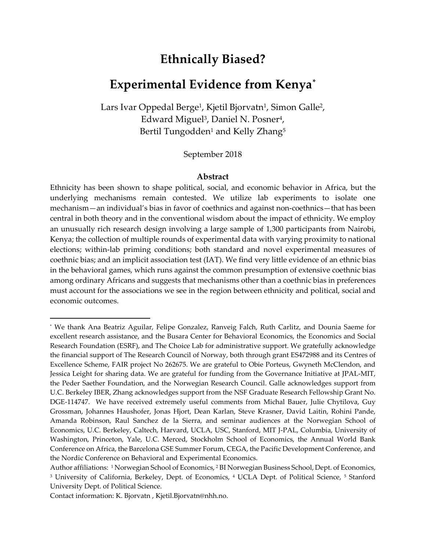# **Ethnically Biased?**

# **Experimental Evidence from Kenya[\\*](#page-0-0)**

Lars Ivar Oppedal Berge<sup>1</sup>, Kjetil Bjorvatn<sup>1</sup>, Simon Galle<sup>2</sup>, Edward Miguel<sup>3</sup>, Daniel N. Posner<sup>4</sup>, Bertil Tungodden<sup>1</sup> and Kelly Zhang<sup>5</sup>

## September 2018

#### **Abstract**

Ethnicity has been shown to shape political, social, and economic behavior in Africa, but the underlying mechanisms remain contested. We utilize lab experiments to isolate one mechanism—an individual's bias in favor of coethnics and against non-coethnics—that has been central in both theory and in the conventional wisdom about the impact of ethnicity. We employ an unusually rich research design involving a large sample of 1,300 participants from Nairobi, Kenya; the collection of multiple rounds of experimental data with varying proximity to national elections; within-lab priming conditions; both standard and novel experimental measures of coethnic bias; and an implicit association test (IAT). We find very little evidence of an ethnic bias in the behavioral games, which runs against the common presumption of extensive coethnic bias among ordinary Africans and suggests that mechanisms other than a coethnic bias in preferences must account for the associations we see in the region between ethnicity and political, social and economic outcomes.

i<br>I

<span id="page-0-0"></span><sup>\*</sup> We thank Ana Beatriz Aguilar, Felipe Gonzalez, Ranveig Falch, Ruth Carlitz, and Dounia Saeme for excellent research assistance, and the Busara Center for Behavioral Economics, the Economics and Social Research Foundation (ESRF), and The Choice Lab for administrative support. We gratefully acknowledge the financial support of The Research Council of Norway, both through grant ES472988 and its Centres of Excellence Scheme, FAIR project No 262675. We are grateful to Obie Porteus, Gwyneth McClendon, and Jessica Leight for sharing data. We are grateful for funding from the Governance Initiative at JPAL-MIT, the Peder Saether Foundation, and the Norwegian Research Council. Galle acknowledges support from U.C. Berkeley IBER, Zhang acknowledges support from the NSF Graduate Research Fellowship Grant No. DGE-114747. We have received extremely useful comments from Michal Bauer, Julie Chytilova, Guy Grossman, Johannes Haushofer, Jonas Hjort, Dean Karlan, Steve Krasner, David Laitin, Rohini Pande, Amanda Robinson, Raul Sanchez de la Sierra, and seminar audiences at the Norwegian School of Economics, U.C. Berkeley, Caltech, Harvard, UCLA, USC, Stanford, MIT J-PAL, Columbia, University of Washington, Princeton, Yale, U.C. Merced, Stockholm School of Economics, the Annual World Bank Conference on Africa, the Barcelona GSE Summer Forum, CEGA, the Pacific Development Conference, and the Nordic Conference on Behavioral and Experimental Economics.

Author affiliations: 1 Norwegian School of Economics, 2 BI Norwegian Business School, Dept. of Economics, <sup>3</sup> University of California, Berkeley, Dept. of Economics, <sup>4</sup> UCLA Dept. of Political Science, <sup>5</sup> Stanford University Dept. of Political Science.

Contact information: K. Bjorvatn , Kjetil.Bjorvatn@nhh.no.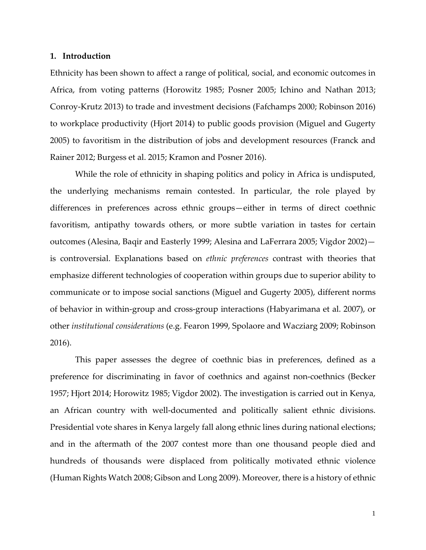#### **1. Introduction**

Ethnicity has been shown to affect a range of political, social, and economic outcomes in Africa, from voting patterns (Horowitz 1985; Posner 2005; Ichino and Nathan 2013; Conroy-Krutz 2013) to trade and investment decisions (Fafchamps 2000; Robinson 2016) to workplace productivity (Hjort 2014) to public goods provision (Miguel and Gugerty 2005) to favoritism in the distribution of jobs and development resources (Franck and Rainer 2012; Burgess et al. 2015; Kramon and Posner 2016).

While the role of ethnicity in shaping politics and policy in Africa is undisputed, the underlying mechanisms remain contested. In particular, the role played by differences in preferences across ethnic groups—either in terms of direct coethnic favoritism, antipathy towards others, or more subtle variation in tastes for certain outcomes (Alesina, Baqir and Easterly 1999; Alesina and LaFerrara 2005; Vigdor 2002) is controversial. Explanations based on *ethnic preferences* contrast with theories that emphasize different technologies of cooperation within groups due to superior ability to communicate or to impose social sanctions (Miguel and Gugerty 2005), different norms of behavior in within-group and cross-group interactions (Habyarimana et al. 2007), or other *institutional considerations* (e.g. Fearon 1999, Spolaore and Wacziarg 2009; Robinson 2016).

This paper assesses the degree of coethnic bias in preferences, defined as a preference for discriminating in favor of coethnics and against non-coethnics (Becker 1957; Hjort 2014; Horowitz 1985; Vigdor 2002). The investigation is carried out in Kenya, an African country with well-documented and politically salient ethnic divisions. Presidential vote shares in Kenya largely fall along ethnic lines during national elections; and in the aftermath of the 2007 contest more than one thousand people died and hundreds of thousands were displaced from politically motivated ethnic violence (Human Rights Watch 2008; Gibson and Long 2009). Moreover, there is a history of ethnic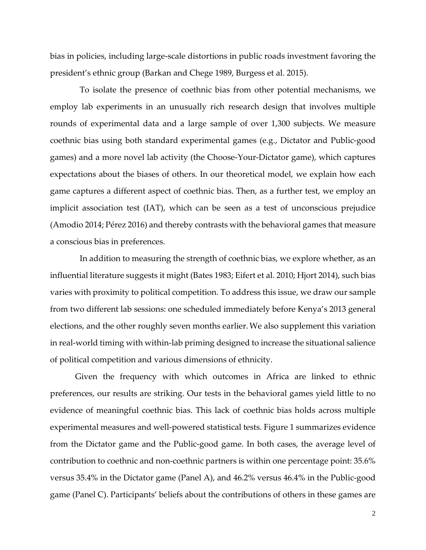bias in policies, including large-scale distortions in public roads investment favoring the president's ethnic group (Barkan and Chege 1989, Burgess et al. 2015).

To isolate the presence of coethnic bias from other potential mechanisms, we employ lab experiments in an unusually rich research design that involves multiple rounds of experimental data and a large sample of over 1,300 subjects. We measure coethnic bias using both standard experimental games (e.g., Dictator and Public-good games) and a more novel lab activity (the Choose-Your-Dictator game), which captures expectations about the biases of others. In our theoretical model, we explain how each game captures a different aspect of coethnic bias. Then, as a further test, we employ an implicit association test (IAT), which can be seen as a test of unconscious prejudice (Amodio 2014; Pérez 2016) and thereby contrasts with the behavioral games that measure a conscious bias in preferences.

In addition to measuring the strength of coethnic bias, we explore whether, as an influential literature suggests it might (Bates 1983; Eifert et al. 2010; Hjort 2014), such bias varies with proximity to political competition. To address this issue, we draw our sample from two different lab sessions: one scheduled immediately before Kenya's 2013 general elections, and the other roughly seven months earlier.We also supplement this variation in real-world timing with within-lab priming designed to increase the situational salience of political competition and various dimensions of ethnicity.

Given the frequency with which outcomes in Africa are linked to ethnic preferences, our results are striking. Our tests in the behavioral games yield little to no evidence of meaningful coethnic bias. This lack of coethnic bias holds across multiple experimental measures and well-powered statistical tests. Figure 1 summarizes evidence from the Dictator game and the Public-good game. In both cases, the average level of contribution to coethnic and non-coethnic partners is within one percentage point: 35.6% versus 35.4% in the Dictator game (Panel A), and 46.2% versus 46.4% in the Public-good game (Panel C). Participants' beliefs about the contributions of others in these games are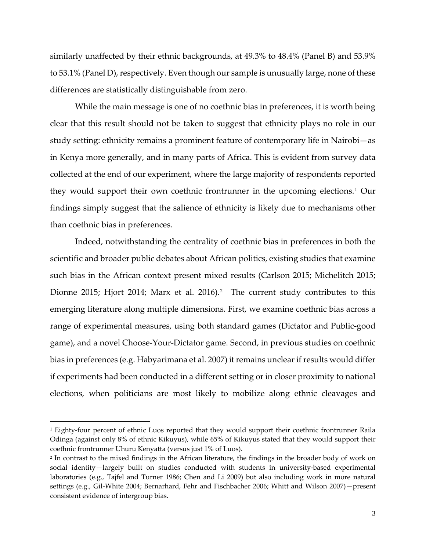similarly unaffected by their ethnic backgrounds, at 49.3% to 48.4% (Panel B) and 53.9% to 53.1% (Panel D), respectively. Even though our sample is unusually large, none of these differences are statistically distinguishable from zero.

While the main message is one of no coethnic bias in preferences, it is worth being clear that this result should not be taken to suggest that ethnicity plays no role in our study setting: ethnicity remains a prominent feature of contemporary life in Nairobi—as in Kenya more generally, and in many parts of Africa. This is evident from survey data collected at the end of our experiment, where the large majority of respondents reported they would support their own coethnic frontrunner in the upcoming elections.[1](#page-3-0) Our findings simply suggest that the salience of ethnicity is likely due to mechanisms other than coethnic bias in preferences.

Indeed, notwithstanding the centrality of coethnic bias in preferences in both the scientific and broader public debates about African politics, existing studies that examine such bias in the African context present mixed results (Carlson 2015; Michelitch 2015; Dionne [2](#page-3-1)015; Hjort 2014; Marx et al. 2016).<sup>2</sup> The current study contributes to this emerging literature along multiple dimensions. First, we examine coethnic bias across a range of experimental measures, using both standard games (Dictator and Public-good game), and a novel Choose-Your-Dictator game. Second, in previous studies on coethnic bias in preferences (e.g. Habyarimana et al. 2007) it remains unclear if results would differ if experiments had been conducted in a different setting or in closer proximity to national elections, when politicians are most likely to mobilize along ethnic cleavages and

<span id="page-3-0"></span>i<br>I <sup>1</sup> Eighty-four percent of ethnic Luos reported that they would support their coethnic frontrunner Raila Odinga (against only 8% of ethnic Kikuyus), while 65% of Kikuyus stated that they would support their coethnic frontrunner Uhuru Kenyatta (versus just 1% of Luos).

<span id="page-3-1"></span><sup>2</sup> In contrast to the mixed findings in the African literature, the findings in the broader body of work on social identity—largely built on studies conducted with students in university-based experimental laboratories (e.g., Tajfel and Turner 1986; Chen and Li 2009) but also including work in more natural settings (e.g., Gil-White 2004; Bernarhard, Fehr and Fischbacher 2006; Whitt and Wilson 2007)—present consistent evidence of intergroup bias.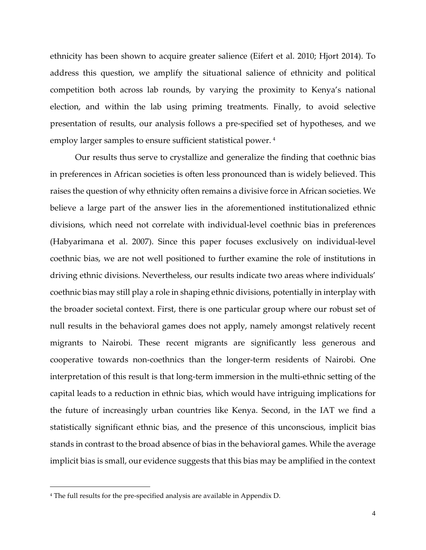ethnicity has been shown to acquire greater salience (Eifert et al. 2010; Hjort 2014). To address this question, we amplify the situational salience of ethnicity and political competition both across lab rounds, by varying the proximity to Kenya's national election, and within the lab using priming treatments. Finally, to avoid selective presentation of results, our analysis follows a pre-specified set of hypotheses, and we employ larger samples to ensure sufficient statistical power.<sup>[4](#page-4-0)</sup>

Our results thus serve to crystallize and generalize the finding that coethnic bias in preferences in African societies is often less pronounced than is widely believed. This raises the question of why ethnicity often remains a divisive force in African societies. We believe a large part of the answer lies in the aforementioned institutionalized ethnic divisions, which need not correlate with individual-level coethnic bias in preferences (Habyarimana et al. 2007). Since this paper focuses exclusively on individual-level coethnic bias, we are not well positioned to further examine the role of institutions in driving ethnic divisions. Nevertheless, our results indicate two areas where individuals' coethnic bias may still play a role in shaping ethnic divisions, potentially in interplay with the broader societal context. First, there is one particular group where our robust set of null results in the behavioral games does not apply, namely amongst relatively recent migrants to Nairobi. These recent migrants are significantly less generous and cooperative towards non-coethnics than the longer-term residents of Nairobi. One interpretation of this result is that long-term immersion in the multi-ethnic setting of the capital leads to a reduction in ethnic bias, which would have intriguing implications for the future of increasingly urban countries like Kenya. Second, in the IAT we find a statistically significant ethnic bias, and the presence of this unconscious, implicit bias stands in contrast to the broad absence of bias in the behavioral games. While the average implicit bias is small, our evidence suggests that this bias may be amplified in the context

I

<span id="page-4-0"></span><sup>4</sup> The full results for the pre-specified analysis are available in Appendix D.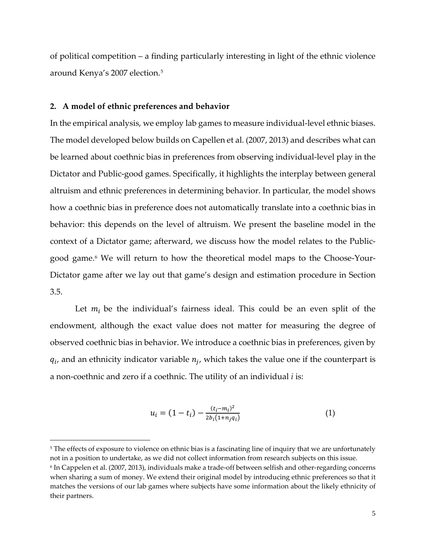of political competition – a finding particularly interesting in light of the ethnic violence around Kenya's 2007 election.[5](#page-5-0)

## **2. A model of ethnic preferences and behavior**

i<br>I

In the empirical analysis, we employ lab games to measure individual-level ethnic biases. The model developed below builds on Capellen et al. (2007, 2013) and describes what can be learned about coethnic bias in preferences from observing individual-level play in the Dictator and Public-good games. Specifically, it highlights the interplay between general altruism and ethnic preferences in determining behavior. In particular, the model shows how a coethnic bias in preference does not automatically translate into a coethnic bias in behavior: this depends on the level of altruism. We present the baseline model in the context of a Dictator game; afterward, we discuss how the model relates to the Publicgood game. [6](#page-5-1) We will return to how the theoretical model maps to the Choose-Your-Dictator game after we lay out that game's design and estimation procedure in Section 3.5.

Let  $m_i$  be the individual's fairness ideal. This could be an even split of the endowment, although the exact value does not matter for measuring the degree of observed coethnic bias in behavior. We introduce a coethnic bias in preferences, given by  $q_i$ , and an ethnicity indicator variable  $n_i$ , which takes the value one if the counterpart is a non-coethnic and zero if a coethnic. The utility of an individual *i* is:

$$
u_i = (1 - t_i) - \frac{(t_i - m_i)^2}{2b_i(1 + n_j q_i)}
$$
(1)

<span id="page-5-0"></span><sup>&</sup>lt;sup>5</sup> The effects of exposure to violence on ethnic bias is a fascinating line of inquiry that we are unfortunately not in a position to undertake, as we did not collect information from research subjects on this issue.

<span id="page-5-1"></span><sup>6</sup> In Cappelen et al. (2007, 2013), individuals make a trade-off between selfish and other-regarding concerns when sharing a sum of money. We extend their original model by introducing ethnic preferences so that it matches the versions of our lab games where subjects have some information about the likely ethnicity of their partners.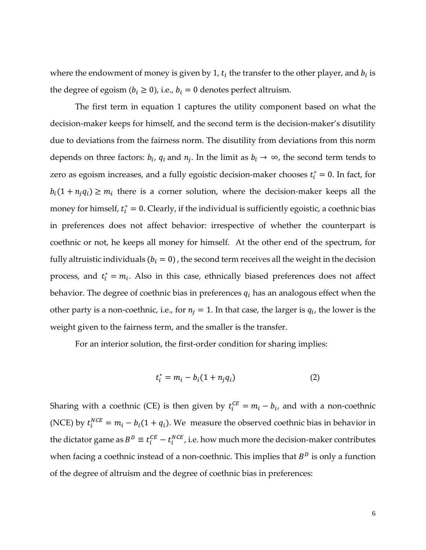where the endowment of money is given by 1,  $t_i$  the transfer to the other player, and  $b_i$  is the degree of egoism ( $b_i \ge 0$ ), i.e.,  $b_i = 0$  denotes perfect altruism.

The first term in equation 1 captures the utility component based on what the decision-maker keeps for himself, and the second term is the decision-maker's disutility due to deviations from the fairness norm. The disutility from deviations from this norm depends on three factors:  $b_i$ ,  $q_i$  and  $n_j$ . In the limit as  $b_i \rightarrow \infty$ , the second term tends to zero as egoism increases, and a fully egoistic decision-maker chooses  $t_i^* = 0$ . In fact, for  $b_i(1 + n_i q_i) \ge m_i$  there is a corner solution, where the decision-maker keeps all the money for himself,  $t_i^* = 0$ . Clearly, if the individual is sufficiently egoistic, a coethnic bias in preferences does not affect behavior: irrespective of whether the counterpart is coethnic or not, he keeps all money for himself. At the other end of the spectrum, for fully altruistic individuals ( $b_i = 0$ ), the second term receives all the weight in the decision process, and  $t_i^* = m_i$ . Also in this case, ethnically biased preferences does not affect behavior. The degree of coethnic bias in preferences  $q_i$  has an analogous effect when the other party is a non-coethnic, i.e., for  $n_j = 1$ . In that case, the larger is  $q_i$ , the lower is the weight given to the fairness term, and the smaller is the transfer.

For an interior solution, the first-order condition for sharing implies:

$$
t_i^* = m_i - b_i(1 + n_j q_i)
$$
 (2)

Sharing with a coethnic (CE) is then given by  $t_i^{CE} = m_i - b_i$ , and with a non-coethnic (NCE) by  $t_i^{NCE} = m_i - b_i(1 + q_i)$ . We measure the observed coethnic bias in behavior in the dictator game as  $B^D \equiv t_i^{CE} - t_i^{NCE}$ , i.e. how much more the decision-maker contributes when facing a coethnic instead of a non-coethnic. This implies that  $B<sup>D</sup>$  is only a function of the degree of altruism and the degree of coethnic bias in preferences: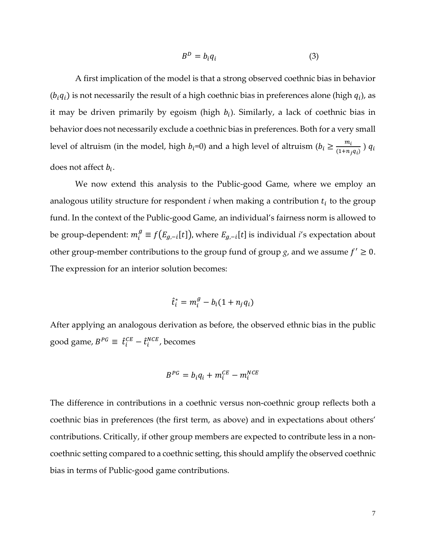$$
B^D = b_i q_i \tag{3}
$$

A first implication of the model is that a strong observed coethnic bias in behavior  $(b_i q_i)$  is not necessarily the result of a high coethnic bias in preferences alone (high  $q_i$ ), as it may be driven primarily by egoism (high  $b_i$ ). Similarly, a lack of coethnic bias in behavior does not necessarily exclude a coethnic bias in preferences. Both for a very small level of altruism (in the model, high  $b_i$ =0) and a high level of altruism ( $b_i \ge \frac{m_i}{(1+n_j q_i)}$ )  $q_i$ does not affect  $b_i$ .

We now extend this analysis to the Public-good Game, where we employ an analogous utility structure for respondent  $i$  when making a contribution  $t_i$  to the group fund. In the context of the Public-good Game, an individual's fairness norm is allowed to be group-dependent:  $m_i^g \equiv f(E_{g,-i}[t])$ , where  $E_{g,-i}[t]$  is individual *i*'s expectation about other group-member contributions to the group fund of group  $g$ , and we assume  $f' \geq 0$ . The expression for an interior solution becomes:

$$
\hat{t}_i^* = m_i^g - b_i(1 + n_j q_i)
$$

After applying an analogous derivation as before, the observed ethnic bias in the public good game,  $B^{PG} \equiv \hat{t}_i^{CE} - \hat{t}_i^{NCE}$ , becomes

$$
B^{PG} = b_i q_i + m_i^{CE} - m_i^{NCE}
$$

The difference in contributions in a coethnic versus non-coethnic group reflects both a coethnic bias in preferences (the first term, as above) and in expectations about others' contributions. Critically, if other group members are expected to contribute less in a noncoethnic setting compared to a coethnic setting, this should amplify the observed coethnic bias in terms of Public-good game contributions.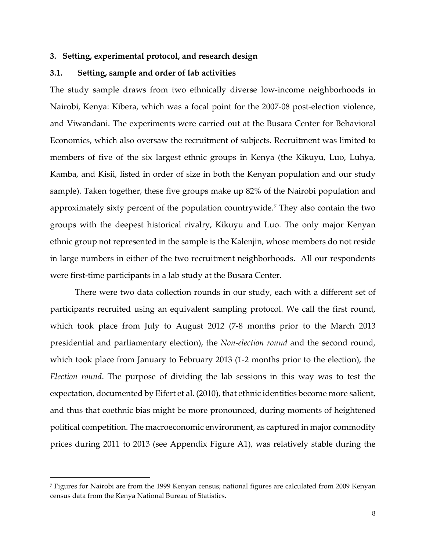#### **3. Setting, experimental protocol, and research design**

## **3.1. Setting, sample and order of lab activities**

The study sample draws from two ethnically diverse low-income neighborhoods in Nairobi, Kenya: Kibera, which was a focal point for the 2007-08 post-election violence, and Viwandani. The experiments were carried out at the Busara Center for Behavioral Economics, which also oversaw the recruitment of subjects. Recruitment was limited to members of five of the six largest ethnic groups in Kenya (the Kikuyu, Luo, Luhya, Kamba, and Kisii, listed in order of size in both the Kenyan population and our study sample). Taken together, these five groups make up 82% of the Nairobi population and approximately sixty percent of the population countrywide.[7](#page-8-0) They also contain the two groups with the deepest historical rivalry, Kikuyu and Luo. The only major Kenyan ethnic group not represented in the sample is the Kalenjin, whose members do not reside in large numbers in either of the two recruitment neighborhoods. All our respondents were first-time participants in a lab study at the Busara Center.

There were two data collection rounds in our study, each with a different set of participants recruited using an equivalent sampling protocol. We call the first round, which took place from July to August 2012 (7-8 months prior to the March 2013 presidential and parliamentary election), the *Non-election round* and the second round, which took place from January to February 2013 (1-2 months prior to the election), the *Election round*. The purpose of dividing the lab sessions in this way was to test the expectation, documented by Eifert et al. (2010), that ethnic identities become more salient, and thus that coethnic bias might be more pronounced, during moments of heightened political competition. The macroeconomic environment, as captured in major commodity prices during 2011 to 2013 (see Appendix Figure A1), was relatively stable during the

i<br>I

<span id="page-8-0"></span><sup>7</sup> Figures for Nairobi are from the 1999 Kenyan census; national figures are calculated from 2009 Kenyan census data from the Kenya National Bureau of Statistics.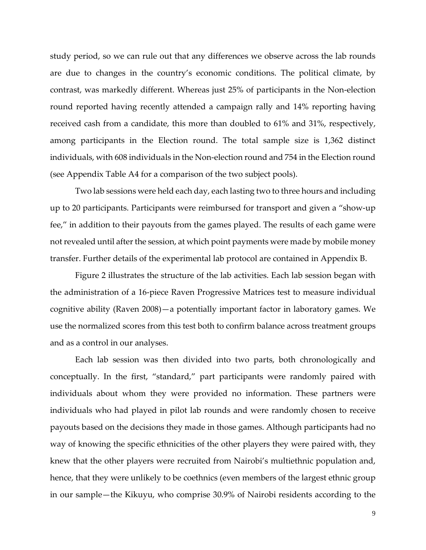study period, so we can rule out that any differences we observe across the lab rounds are due to changes in the country's economic conditions. The political climate, by contrast, was markedly different. Whereas just 25% of participants in the Non-election round reported having recently attended a campaign rally and 14% reporting having received cash from a candidate, this more than doubled to 61% and 31%, respectively, among participants in the Election round. The total sample size is 1,362 distinct individuals, with 608 individuals in the Non-election round and 754 in the Election round (see Appendix Table A4 for a comparison of the two subject pools).

Two lab sessions were held each day, each lasting two to three hours and including up to 20 participants. Participants were reimbursed for transport and given a "show-up fee," in addition to their payouts from the games played. The results of each game were not revealed until after the session, at which point payments were made by mobile money transfer. Further details of the experimental lab protocol are contained in Appendix B.

Figure 2 illustrates the structure of the lab activities. Each lab session began with the administration of a 16-piece Raven Progressive Matrices test to measure individual cognitive ability (Raven 2008)—a potentially important factor in laboratory games. We use the normalized scores from this test both to confirm balance across treatment groups and as a control in our analyses.

Each lab session was then divided into two parts, both chronologically and conceptually. In the first, "standard," part participants were randomly paired with individuals about whom they were provided no information. These partners were individuals who had played in pilot lab rounds and were randomly chosen to receive payouts based on the decisions they made in those games. Although participants had no way of knowing the specific ethnicities of the other players they were paired with, they knew that the other players were recruited from Nairobi's multiethnic population and, hence, that they were unlikely to be coethnics (even members of the largest ethnic group in our sample—the Kikuyu, who comprise 30.9% of Nairobi residents according to the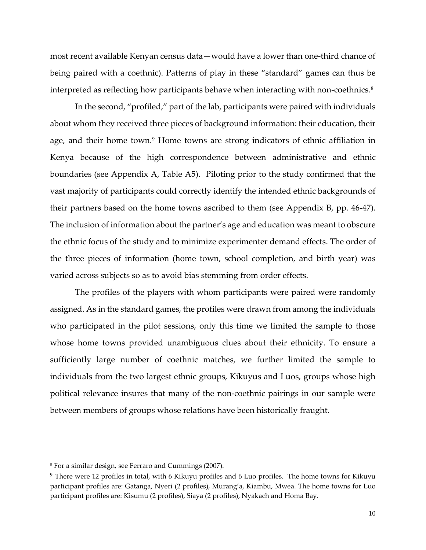most recent available Kenyan census data—would have a lower than one-third chance of being paired with a coethnic). Patterns of play in these "standard" games can thus be interpreted as reflecting how participants behave when interacting with non-coethnics.<sup>[8](#page-10-0)</sup>

In the second, "profiled," part of the lab, participants were paired with individuals about whom they received three pieces of background information: their education, their age, and their home town.<sup>[9](#page-10-1)</sup> Home towns are strong indicators of ethnic affiliation in Kenya because of the high correspondence between administrative and ethnic boundaries (see Appendix A, Table A5). Piloting prior to the study confirmed that the vast majority of participants could correctly identify the intended ethnic backgrounds of their partners based on the home towns ascribed to them (see Appendix B, pp. 46-47). The inclusion of information about the partner's age and education was meant to obscure the ethnic focus of the study and to minimize experimenter demand effects. The order of the three pieces of information (home town, school completion, and birth year) was varied across subjects so as to avoid bias stemming from order effects.

The profiles of the players with whom participants were paired were randomly assigned. As in the standard games, the profiles were drawn from among the individuals who participated in the pilot sessions, only this time we limited the sample to those whose home towns provided unambiguous clues about their ethnicity. To ensure a sufficiently large number of coethnic matches, we further limited the sample to individuals from the two largest ethnic groups, Kikuyus and Luos, groups whose high political relevance insures that many of the non-coethnic pairings in our sample were between members of groups whose relations have been historically fraught.

<span id="page-10-1"></span><span id="page-10-0"></span>i<br>I

<sup>8</sup> For a similar design, see Ferraro and Cummings (2007).

<sup>9</sup> There were 12 profiles in total, with 6 Kikuyu profiles and 6 Luo profiles. The home towns for Kikuyu participant profiles are: Gatanga, Nyeri (2 profiles), Murang'a, Kiambu, Mwea. The home towns for Luo participant profiles are: Kisumu (2 profiles), Siaya (2 profiles), Nyakach and Homa Bay.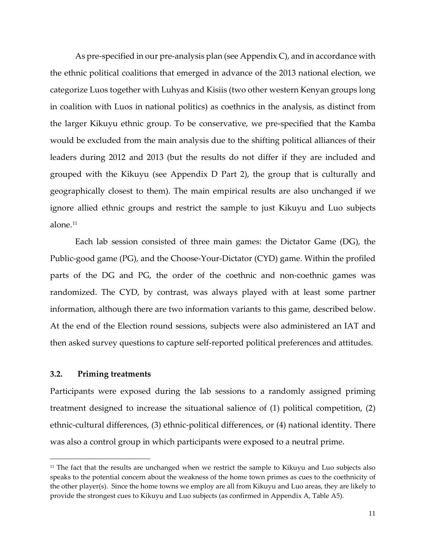As pre-specified in our pre-analysis plan (see Appendix C), and in accordance with the ethnic political coalitions that emerged in advance of the 2013 national election, we categorize Luos together with Luhyas and Kisiis (two other western Kenyan groups long in coalition with Luos in national politics) as coethnics in the analysis, as distinct from the larger Kikuyu ethnic group. To be conservative, we pre-specified that the Kamba would be excluded from the main analysis due to the shifting political alliances of their leaders during 2012 and 2013 (but the results do not differ if they are included and grouped with the Kikuyu (see Appendix D Part 2), the group that is culturally and geographically closest to them). The main empirical results are also unchanged if we ignore allied ethnic groups and restrict the sample to just Kikuyu and Luo subjects alone.<sup>[11](#page-11-0)</sup>

Each lab session consisted of three main games: the Dictator Game (DG), the Public-good game (PG), and the Choose-Your-Dictator (CYD) game. Within the profiled parts of the DG and PG, the order of the coethnic and non-coethnic games was randomized. The CYD, by contrast, was always played with at least some partner information, although there are two information variants to this game, described below. At the end of the Election round sessions, subjects were also administered an IAT and then asked survey questions to capture self-reported political preferences and attitudes.

## **3.2. Priming treatments**

Participants were exposed during the lab sessions to a randomly assigned priming treatment designed to increase the situational salience of (1) political competition, (2) ethnic-cultural differences, (3) ethnic-political differences, or (4) national identity. There was also a control group in which participants were exposed to a neutral prime.

<span id="page-11-0"></span>i<br>I <sup>11</sup> The fact that the results are unchanged when we restrict the sample to Kikuyu and Luo subjects also speaks to the potential concern about the weakness of the home town primes as cues to the coethnicity of the other player(s). Since the home towns we employ are all from Kikuyu and Luo areas, they are likely to provide the strongest cues to Kikuyu and Luo subjects (as confirmed in Appendix A, Table A5).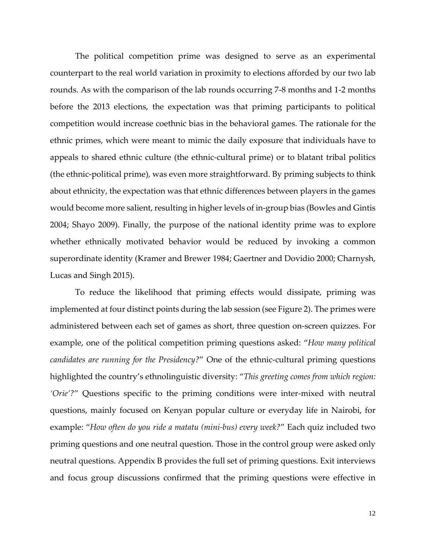The political competition prime was designed to serve as an experimental counterpart to the real world variation in proximity to elections afforded by our two lab rounds. As with the comparison of the lab rounds occurring 7-8 months and 1-2 months before the 2013 elections, the expectation was that priming participants to political competition would increase coethnic bias in the behavioral games. The rationale for the ethnic primes, which were meant to mimic the daily exposure that individuals have to appeals to shared ethnic culture (the ethnic-cultural prime) or to blatant tribal politics (the ethnic-political prime), was even more straightforward. By priming subjects to think about ethnicity, the expectation was that ethnic differences between players in the games would become more salient, resulting in higher levels of in-group bias (Bowles and Gintis 2004; Shayo 2009). Finally, the purpose of the national identity prime was to explore whether ethnically motivated behavior would be reduced by invoking a common superordinate identity (Kramer and Brewer 1984; Gaertner and Dovidio 2000; Charnysh, Lucas and Singh 2015).

To reduce the likelihood that priming effects would dissipate, priming was implemented at four distinct points during the lab session (see Figure 2). The primes were administered between each set of games as short, three question on-screen quizzes. For example, one of the political competition priming questions asked: "*How many political candidates are running for the Presidency?*" One of the ethnic-cultural priming questions highlighted the country's ethnolinguistic diversity: "*This greeting comes from which region: 'Orie'?*" Questions specific to the priming conditions were inter-mixed with neutral questions, mainly focused on Kenyan popular culture or everyday life in Nairobi, for example: "*How often do you ride a matatu (mini-bus) every week?*" Each quiz included two priming questions and one neutral question. Those in the control group were asked only neutral questions. Appendix B provides the full set of priming questions. Exit interviews and focus group discussions confirmed that the priming questions were effective in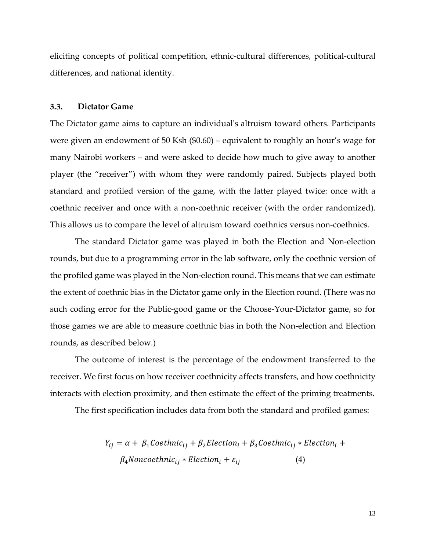eliciting concepts of political competition, ethnic-cultural differences, political-cultural differences, and national identity.

## **3.3. Dictator Game**

The Dictator game aims to capture an individual's altruism toward others. Participants were given an endowment of 50 Ksh (\$0.60) – equivalent to roughly an hour's wage for many Nairobi workers – and were asked to decide how much to give away to another player (the "receiver") with whom they were randomly paired. Subjects played both standard and profiled version of the game, with the latter played twice: once with a coethnic receiver and once with a non-coethnic receiver (with the order randomized). This allows us to compare the level of altruism toward coethnics versus non-coethnics.

The standard Dictator game was played in both the Election and Non-election rounds, but due to a programming error in the lab software, only the coethnic version of the profiled game was played in the Non-election round. This means that we can estimate the extent of coethnic bias in the Dictator game only in the Election round. (There was no such coding error for the Public-good game or the Choose-Your-Dictator game, so for those games we are able to measure coethnic bias in both the Non-election and Election rounds, as described below.)

The outcome of interest is the percentage of the endowment transferred to the receiver. We first focus on how receiver coethnicity affects transfers, and how coethnicity interacts with election proximity, and then estimate the effect of the priming treatments.

The first specification includes data from both the standard and profiled games:

$$
Y_{ij} = \alpha + \beta_1 \text{Coethnic}_{ij} + \beta_2 \text{Electronic}_{i} + \beta_3 \text{Coethnic}_{ij} * \text{Electronic}_{i} + \beta_4 \text{Noncoethnic}_{ij} * \text{Electronic}_{i} + \varepsilon_{ij}
$$
\n
$$
\tag{4}
$$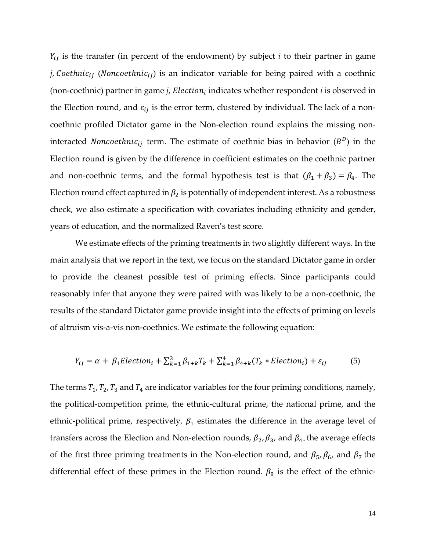$Y_{ij}$  is the transfer (in percent of the endowment) by subject *i* to their partner in game *j*, Coethnic<sub>ij</sub> (Noncoethnic<sub>ij</sub>) is an indicator variable for being paired with a coethnic (non-coethnic) partner in game  $j$ , Election<sub>i</sub> indicates whether respondent  $i$  is observed in the Election round, and  $\varepsilon_{ij}$  is the error term, clustered by individual. The lack of a noncoethnic profiled Dictator game in the Non-election round explains the missing noninteracted *Noncoethnic*<sub>ij</sub> term. The estimate of coethnic bias in behavior ( $B<sup>D</sup>$ ) in the Election round is given by the difference in coefficient estimates on the coethnic partner and non-coethnic terms, and the formal hypothesis test is that  $(\beta_1 + \beta_3) = \beta_4$ . The Election round effect captured in  $\beta_2$  is potentially of independent interest. As a robustness check, we also estimate a specification with covariates including ethnicity and gender, years of education, and the normalized Raven's test score.

We estimate effects of the priming treatments in two slightly different ways. In the main analysis that we report in the text, we focus on the standard Dictator game in order to provide the cleanest possible test of priming effects. Since participants could reasonably infer that anyone they were paired with was likely to be a non-coethnic, the results of the standard Dictator game provide insight into the effects of priming on levels of altruism vis-a-vis non-coethnics. We estimate the following equation:

$$
Y_{ij} = \alpha + \beta_1 Electronic(t_{i+1} + \sum_{k=1}^{3} \beta_{1+k} T_k + \sum_{k=1}^{4} \beta_{4+k} (T_k * Electronic(t_{i+1}) + \varepsilon_{ij})
$$
(5)

The terms  $T_1, T_2, T_3$  and  $T_4$  are indicator variables for the four priming conditions, namely, the political-competition prime, the ethnic-cultural prime, the national prime, and the ethnic-political prime, respectively.  $\beta_1$  estimates the difference in the average level of transfers across the Election and Non-election rounds,  $\beta_2$ ,  $\beta_3$ , and  $\beta_4$ , the average effects of the first three priming treatments in the Non-election round, and  $\beta_5$ ,  $\beta_6$ , and  $\beta_7$  the differential effect of these primes in the Election round.  $\beta_8$  is the effect of the ethnic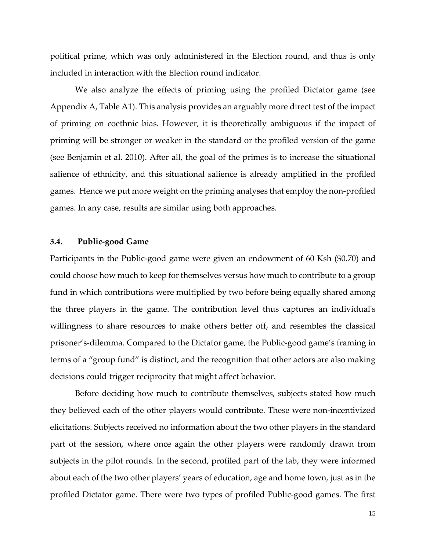political prime, which was only administered in the Election round, and thus is only included in interaction with the Election round indicator.

We also analyze the effects of priming using the profiled Dictator game (see Appendix A, Table A1). This analysis provides an arguably more direct test of the impact of priming on coethnic bias. However, it is theoretically ambiguous if the impact of priming will be stronger or weaker in the standard or the profiled version of the game (see Benjamin et al. 2010). After all, the goal of the primes is to increase the situational salience of ethnicity, and this situational salience is already amplified in the profiled games. Hence we put more weight on the priming analyses that employ the non-profiled games. In any case, results are similar using both approaches.

## **3.4. Public-good Game**

Participants in the Public-good game were given an endowment of 60 Ksh (\$0.70) and could choose how much to keep for themselves versus how much to contribute to a group fund in which contributions were multiplied by two before being equally shared among the three players in the game. The contribution level thus captures an individual's willingness to share resources to make others better off, and resembles the classical prisoner's-dilemma. Compared to the Dictator game, the Public-good game's framing in terms of a "group fund" is distinct, and the recognition that other actors are also making decisions could trigger reciprocity that might affect behavior.

Before deciding how much to contribute themselves, subjects stated how much they believed each of the other players would contribute. These were non-incentivized elicitations. Subjects received no information about the two other players in the standard part of the session, where once again the other players were randomly drawn from subjects in the pilot rounds. In the second, profiled part of the lab, they were informed about each of the two other players' years of education, age and home town, just as in the profiled Dictator game. There were two types of profiled Public-good games. The first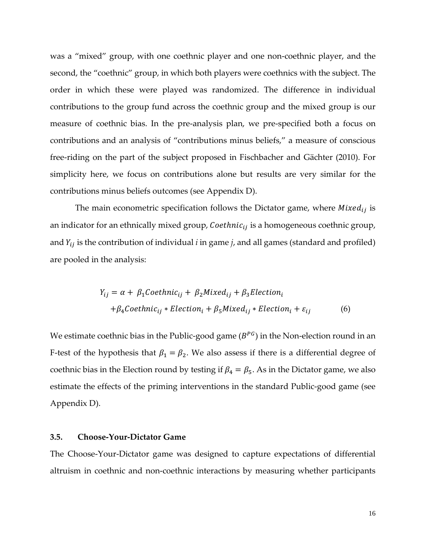was a "mixed" group, with one coethnic player and one non-coethnic player, and the second, the "coethnic" group, in which both players were coethnics with the subject. The order in which these were played was randomized. The difference in individual contributions to the group fund across the coethnic group and the mixed group is our measure of coethnic bias. In the pre-analysis plan, we pre-specified both a focus on contributions and an analysis of "contributions minus beliefs," a measure of conscious free-riding on the part of the subject proposed in Fischbacher and Gächter (2010). For simplicity here, we focus on contributions alone but results are very similar for the contributions minus beliefs outcomes (see Appendix D).

The main econometric specification follows the Dictator game, where  $Mixed_{ij}$  is an indicator for an ethnically mixed group,  $Coethnic_{ij}$  is a homogeneous coethnic group, and  $Y_{ij}$  is the contribution of individual  $i$  in game  $j$ , and all games (standard and profiled) are pooled in the analysis:

$$
Y_{ij} = \alpha + \beta_1 \text{Coethnic}_{ij} + \beta_2 \text{Mixed}_{ij} + \beta_3 \text{Election}_{i}
$$

$$
+ \beta_4 \text{Coethnic}_{ij} * \text{Election}_{i} + \beta_5 \text{Mixed}_{ij} * \text{Election}_{i} + \varepsilon_{ij}
$$
(6)

We estimate coethnic bias in the Public-good game  $(B^{PG})$  in the Non-election round in an F-test of the hypothesis that  $\beta_1 = \beta_2$ . We also assess if there is a differential degree of coethnic bias in the Election round by testing if  $\beta_4 = \beta_5$ . As in the Dictator game, we also estimate the effects of the priming interventions in the standard Public-good game (see Appendix D).

## **3.5. Choose-Your-Dictator Game**

The Choose-Your-Dictator game was designed to capture expectations of differential altruism in coethnic and non-coethnic interactions by measuring whether participants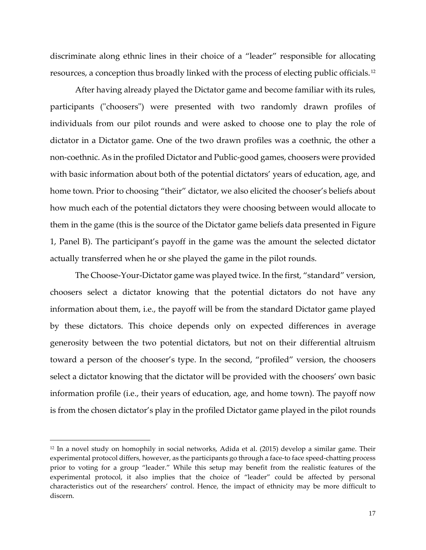discriminate along ethnic lines in their choice of a "leader" responsible for allocating resources, a conception thus broadly linked with the process of electing public officials.[12](#page-17-0)

After having already played the Dictator game and become familiar with its rules, participants ("choosers") were presented with two randomly drawn profiles of individuals from our pilot rounds and were asked to choose one to play the role of dictator in a Dictator game. One of the two drawn profiles was a coethnic, the other a non-coethnic. As in the profiled Dictator and Public-good games, choosers were provided with basic information about both of the potential dictators' years of education, age, and home town. Prior to choosing "their" dictator, we also elicited the chooser's beliefs about how much each of the potential dictators they were choosing between would allocate to them in the game (this is the source of the Dictator game beliefs data presented in Figure 1, Panel B). The participant's payoff in the game was the amount the selected dictator actually transferred when he or she played the game in the pilot rounds.

The Choose-Your-Dictator game was played twice. In the first, "standard" version, choosers select a dictator knowing that the potential dictators do not have any information about them, i.e., the payoff will be from the standard Dictator game played by these dictators. This choice depends only on expected differences in average generosity between the two potential dictators, but not on their differential altruism toward a person of the chooser's type. In the second, "profiled" version, the choosers select a dictator knowing that the dictator will be provided with the choosers' own basic information profile (i.e., their years of education, age, and home town). The payoff now is from the chosen dictator's play in the profiled Dictator game played in the pilot rounds

<span id="page-17-0"></span>i<br>I <sup>12</sup> In a novel study on homophily in social networks, Adida et al. (2015) develop a similar game. Their experimental protocol differs, however, as the participants go through a face-to face speed-chatting process prior to voting for a group "leader." While this setup may benefit from the realistic features of the experimental protocol, it also implies that the choice of "leader" could be affected by personal characteristics out of the researchers' control. Hence, the impact of ethnicity may be more difficult to discern.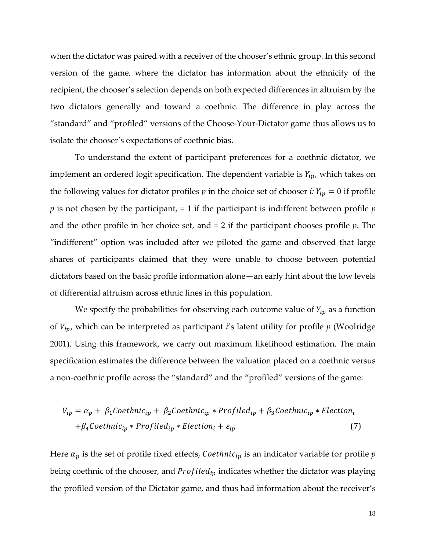when the dictator was paired with a receiver of the chooser's ethnic group. In this second version of the game, where the dictator has information about the ethnicity of the recipient, the chooser's selection depends on both expected differences in altruism by the two dictators generally and toward a coethnic. The difference in play across the "standard" and "profiled" versions of the Choose-Your-Dictator game thus allows us to isolate the chooser's expectations of coethnic bias.

To understand the extent of participant preferences for a coethnic dictator, we implement an ordered logit specification. The dependent variable is  $Y_{ip}$ , which takes on the following values for dictator profiles  $p$  in the choice set of chooser  $i: Y_{ip} = 0$  if profile *p* is not chosen by the participant, = 1 if the participant is indifferent between profile *p* and the other profile in her choice set, and = 2 if the participant chooses profile *p*. The "indifferent" option was included after we piloted the game and observed that large shares of participants claimed that they were unable to choose between potential dictators based on the basic profile information alone—an early hint about the low levels of differential altruism across ethnic lines in this population.

We specify the probabilities for observing each outcome value of  $Y_{ip}$  as a function of  $V_{ip}$ , which can be interpreted as participant *i*'s latent utility for profile  $p$  (Woolridge 2001). Using this framework, we carry out maximum likelihood estimation. The main specification estimates the difference between the valuation placed on a coethnic versus a non-coethnic profile across the "standard" and the "profiled" versions of the game:

$$
V_{ip} = \alpha_p + \beta_1 \text{Coethnic}_{ip} + \beta_2 \text{Coethnic}_{ip} * \text{Profiled}_{ip} + \beta_3 \text{Coethnic}_{ip} * \text{Election}_{i}
$$

$$
+ \beta_4 \text{Coethnic}_{ip} * \text{Profield}_{ip} * \text{Electron}_{i} + \varepsilon_{ip}
$$

$$
\tag{7}
$$

Here  $\alpha_p$  is the set of profile fixed effects, *Coethnic*<sub>ip</sub> is an indicator variable for profile  $p$ being coethnic of the chooser, and  $Profited_{ip}$  indicates whether the dictator was playing the profiled version of the Dictator game, and thus had information about the receiver's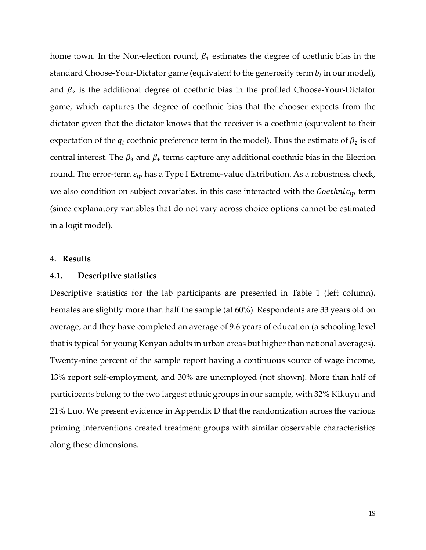home town. In the Non-election round,  $\beta_1$  estimates the degree of coethnic bias in the standard Choose-Your-Dictator game (equivalent to the generosity term  $b_i$  in our model), and  $\beta_2$  is the additional degree of coethnic bias in the profiled Choose-Your-Dictator game, which captures the degree of coethnic bias that the chooser expects from the dictator given that the dictator knows that the receiver is a coethnic (equivalent to their expectation of the  $q_i$  coethnic preference term in the model). Thus the estimate of  $\beta_2$  is of central interest. The  $\beta_3$  and  $\beta_4$  terms capture any additional coethnic bias in the Election round. The error-term  $\varepsilon_{ip}$  has a Type I Extreme-value distribution. As a robustness check, we also condition on subject covariates, in this case interacted with the  $\textit{Coethnic}_{ip}$  term (since explanatory variables that do not vary across choice options cannot be estimated in a logit model).

## **4. Results**

## **4.1. Descriptive statistics**

Descriptive statistics for the lab participants are presented in Table 1 (left column). Females are slightly more than half the sample (at 60%). Respondents are 33 years old on average, and they have completed an average of 9.6 years of education (a schooling level that is typical for young Kenyan adults in urban areas but higher than national averages). Twenty-nine percent of the sample report having a continuous source of wage income, 13% report self-employment, and 30% are unemployed (not shown). More than half of participants belong to the two largest ethnic groups in our sample, with 32% Kikuyu and 21% Luo. We present evidence in Appendix D that the randomization across the various priming interventions created treatment groups with similar observable characteristics along these dimensions.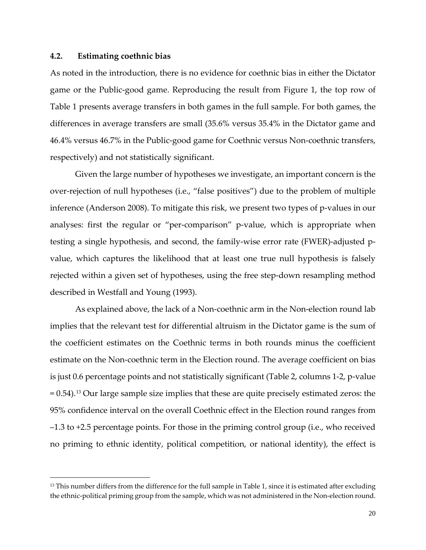## **4.2. Estimating coethnic bias**

i<br>I

As noted in the introduction, there is no evidence for coethnic bias in either the Dictator game or the Public-good game. Reproducing the result from Figure 1, the top row of Table 1 presents average transfers in both games in the full sample. For both games, the differences in average transfers are small (35.6% versus 35.4% in the Dictator game and 46.4% versus 46.7% in the Public-good game for Coethnic versus Non-coethnic transfers, respectively) and not statistically significant.

Given the large number of hypotheses we investigate, an important concern is the over-rejection of null hypotheses (i.e., "false positives") due to the problem of multiple inference (Anderson 2008). To mitigate this risk, we present two types of p-values in our analyses: first the regular or "per-comparison" p-value, which is appropriate when testing a single hypothesis, and second, the family-wise error rate (FWER)-adjusted pvalue, which captures the likelihood that at least one true null hypothesis is falsely rejected within a given set of hypotheses, using the free step-down resampling method described in Westfall and Young (1993).

As explained above, the lack of a Non-coethnic arm in the Non-election round lab implies that the relevant test for differential altruism in the Dictator game is the sum of the coefficient estimates on the Coethnic terms in both rounds minus the coefficient estimate on the Non-coethnic term in the Election round. The average coefficient on bias is just 0.6 percentage points and not statistically significant (Table 2, columns 1-2, p-value  $= 0.54$ ).<sup>[13](#page-21-0)</sup> Our large sample size implies that these are quite precisely estimated zeros: the 95% confidence interval on the overall Coethnic effect in the Election round ranges from –1.3 to +2.5 percentage points. For those in the priming control group (i.e., who received no priming to ethnic identity, political competition, or national identity), the effect is

 $13$  This number differs from the difference for the full sample in Table 1, since it is estimated after excluding the ethnic-political priming group from the sample, which was not administered in the Non-election round.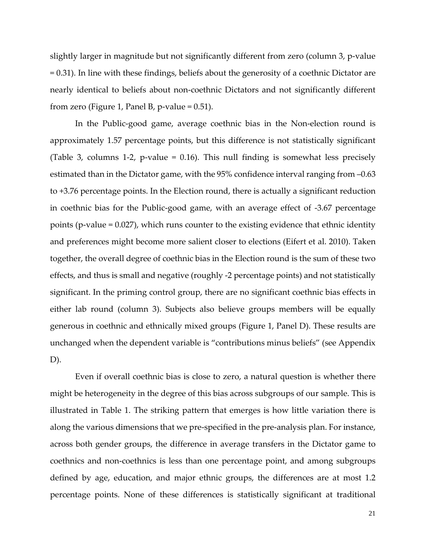slightly larger in magnitude but not significantly different from zero (column 3, p-value = 0.31). In line with these findings, beliefs about the generosity of a coethnic Dictator are nearly identical to beliefs about non-coethnic Dictators and not significantly different from zero (Figure 1, Panel B, p-value =  $0.51$ ).

In the Public-good game, average coethnic bias in the Non-election round is approximately 1.57 percentage points, but this difference is not statistically significant (Table 3, columns 1-2, p-value = 0.16). This null finding is somewhat less precisely estimated than in the Dictator game, with the 95% confidence interval ranging from –0.63 to +3.76 percentage points. In the Election round, there is actually a significant reduction in coethnic bias for the Public-good game, with an average effect of -3.67 percentage points (p-value = 0.027), which runs counter to the existing evidence that ethnic identity and preferences might become more salient closer to elections (Eifert et al. 2010). Taken together, the overall degree of coethnic bias in the Election round is the sum of these two effects, and thus is small and negative (roughly -2 percentage points) and not statistically significant. In the priming control group, there are no significant coethnic bias effects in either lab round (column 3). Subjects also believe groups members will be equally generous in coethnic and ethnically mixed groups (Figure 1, Panel D). These results are unchanged when the dependent variable is "contributions minus beliefs" (see Appendix D).

<span id="page-21-0"></span>Even if overall coethnic bias is close to zero, a natural question is whether there might be heterogeneity in the degree of this bias across subgroups of our sample. This is illustrated in Table 1. The striking pattern that emerges is how little variation there is along the various dimensions that we pre-specified in the pre-analysis plan. For instance, across both gender groups, the difference in average transfers in the Dictator game to coethnics and non-coethnics is less than one percentage point, and among subgroups defined by age, education, and major ethnic groups, the differences are at most 1.2 percentage points. None of these differences is statistically significant at traditional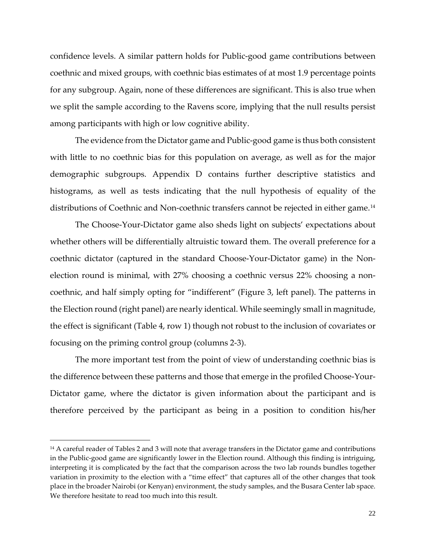confidence levels. A similar pattern holds for Public-good game contributions between coethnic and mixed groups, with coethnic bias estimates of at most 1.9 percentage points for any subgroup. Again, none of these differences are significant. This is also true when we split the sample according to the Ravens score, implying that the null results persist among participants with high or low cognitive ability.

The evidence from the Dictator game and Public-good game is thus both consistent with little to no coethnic bias for this population on average, as well as for the major demographic subgroups. Appendix D contains further descriptive statistics and histograms, as well as tests indicating that the null hypothesis of equality of the distributions of Coethnic and Non-coethnic transfers cannot be rejected in either game.<sup>[14](#page-22-0)</sup>

The Choose-Your-Dictator game also sheds light on subjects' expectations about whether others will be differentially altruistic toward them. The overall preference for a coethnic dictator (captured in the standard Choose-Your-Dictator game) in the Nonelection round is minimal, with 27% choosing a coethnic versus 22% choosing a noncoethnic, and half simply opting for "indifferent" (Figure 3, left panel). The patterns in the Election round (right panel) are nearly identical. While seemingly small in magnitude, the effect is significant (Table 4, row 1) though not robust to the inclusion of covariates or focusing on the priming control group (columns 2-3).

The more important test from the point of view of understanding coethnic bias is the difference between these patterns and those that emerge in the profiled Choose-Your-Dictator game, where the dictator is given information about the participant and is therefore perceived by the participant as being in a position to condition his/her

<span id="page-22-0"></span>i<br>I <sup>14</sup> A careful reader of Tables 2 and 3 will note that average transfers in the Dictator game and contributions in the Public-good game are significantly lower in the Election round. Although this finding is intriguing, interpreting it is complicated by the fact that the comparison across the two lab rounds bundles together variation in proximity to the election with a "time effect" that captures all of the other changes that took place in the broader Nairobi (or Kenyan) environment, the study samples, and the Busara Center lab space. We therefore hesitate to read too much into this result.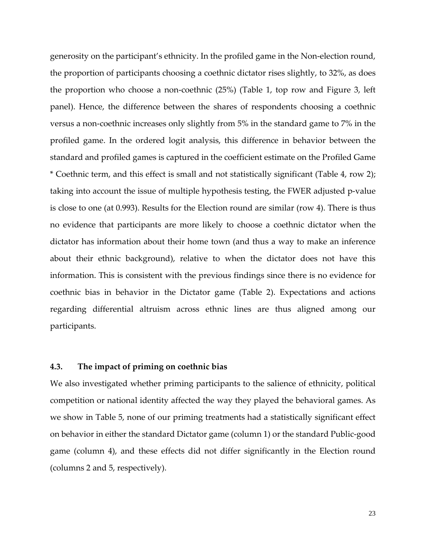generosity on the participant's ethnicity. In the profiled game in the Non-election round, the proportion of participants choosing a coethnic dictator rises slightly, to 32%, as does the proportion who choose a non-coethnic (25%) (Table 1, top row and Figure 3, left panel). Hence, the difference between the shares of respondents choosing a coethnic versus a non-coethnic increases only slightly from 5% in the standard game to 7% in the profiled game. In the ordered logit analysis, this difference in behavior between the standard and profiled games is captured in the coefficient estimate on the Profiled Game \* Coethnic term, and this effect is small and not statistically significant (Table 4, row 2); taking into account the issue of multiple hypothesis testing, the FWER adjusted p-value is close to one (at 0.993). Results for the Election round are similar (row 4). There is thus no evidence that participants are more likely to choose a coethnic dictator when the dictator has information about their home town (and thus a way to make an inference about their ethnic background), relative to when the dictator does not have this information. This is consistent with the previous findings since there is no evidence for coethnic bias in behavior in the Dictator game (Table 2). Expectations and actions regarding differential altruism across ethnic lines are thus aligned among our participants.

## **4.3. The impact of priming on coethnic bias**

We also investigated whether priming participants to the salience of ethnicity, political competition or national identity affected the way they played the behavioral games. As we show in Table 5, none of our priming treatments had a statistically significant effect on behavior in either the standard Dictator game (column 1) or the standard Public-good game (column 4), and these effects did not differ significantly in the Election round (columns 2 and 5, respectively).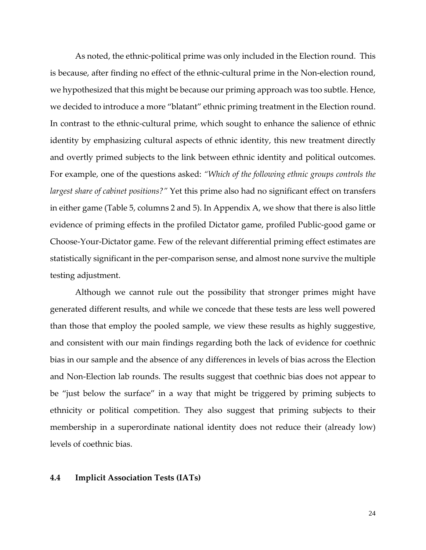As noted, the ethnic-political prime was only included in the Election round. This is because, after finding no effect of the ethnic-cultural prime in the Non-election round, we hypothesized that this might be because our priming approach was too subtle. Hence, we decided to introduce a more "blatant" ethnic priming treatment in the Election round. In contrast to the ethnic-cultural prime, which sought to enhance the salience of ethnic identity by emphasizing cultural aspects of ethnic identity, this new treatment directly and overtly primed subjects to the link between ethnic identity and political outcomes. For example, one of the questions asked: *"Which of the following ethnic groups controls the largest share of cabinet positions?"* Yet this prime also had no significant effect on transfers in either game (Table 5, columns 2 and 5). In Appendix A, we show that there is also little evidence of priming effects in the profiled Dictator game, profiled Public-good game or Choose-Your-Dictator game. Few of the relevant differential priming effect estimates are statistically significant in the per-comparison sense, and almost none survive the multiple testing adjustment.

Although we cannot rule out the possibility that stronger primes might have generated different results, and while we concede that these tests are less well powered than those that employ the pooled sample, we view these results as highly suggestive, and consistent with our main findings regarding both the lack of evidence for coethnic bias in our sample and the absence of any differences in levels of bias across the Election and Non-Election lab rounds. The results suggest that coethnic bias does not appear to be "just below the surface" in a way that might be triggered by priming subjects to ethnicity or political competition. They also suggest that priming subjects to their membership in a superordinate national identity does not reduce their (already low) levels of coethnic bias.

## **4.4 Implicit Association Tests (IATs)**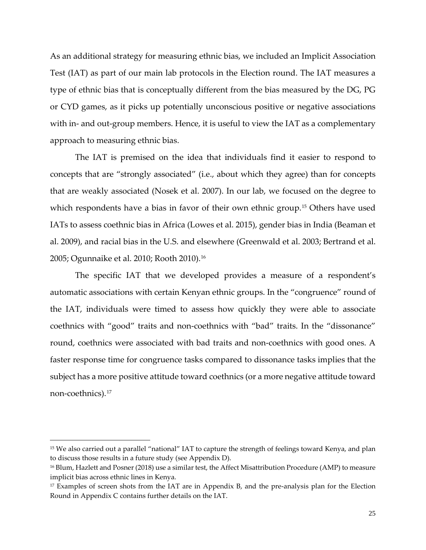As an additional strategy for measuring ethnic bias, we included an Implicit Association Test (IAT) as part of our main lab protocols in the Election round. The IAT measures a type of ethnic bias that is conceptually different from the bias measured by the DG, PG or CYD games, as it picks up potentially unconscious positive or negative associations with in- and out-group members. Hence, it is useful to view the IAT as a complementary approach to measuring ethnic bias.

The IAT is premised on the idea that individuals find it easier to respond to concepts that are "strongly associated" (i.e., about which they agree) than for concepts that are weakly associated (Nosek et al. 2007). In our lab, we focused on the degree to which respondents have a bias in favor of their own ethnic group.<sup>[15](#page-26-0)</sup> Others have used IATs to assess coethnic bias in Africa (Lowes et al. 2015), gender bias in India (Beaman et al. 2009), and racial bias in the U.S. and elsewhere (Greenwald et al. 2003; Bertrand et al. 2005; Ogunnaike et al. 2010; Rooth 2010).[16](#page-26-1)

The specific IAT that we developed provides a measure of a respondent's automatic associations with certain Kenyan ethnic groups. In the "congruence" round of the IAT, individuals were timed to assess how quickly they were able to associate coethnics with "good" traits and non-coethnics with "bad" traits. In the "dissonance" round, coethnics were associated with bad traits and non-coethnics with good ones. A faster response time for congruence tasks compared to dissonance tasks implies that the subject has a more positive attitude toward coethnics (or a more negative attitude toward non-coethnics).[17](#page-26-2)

i<br>I <sup>15</sup> We also carried out a parallel "national" IAT to capture the strength of feelings toward Kenya, and plan to discuss those results in a future study (see Appendix D).

<sup>16</sup> Blum, Hazlett and Posner (2018) use a similar test, the Affect Misattribution Procedure (AMP) to measure implicit bias across ethnic lines in Kenya.

<sup>17</sup> Examples of screen shots from the IAT are in Appendix B, and the pre-analysis plan for the Election Round in Appendix C contains further details on the IAT.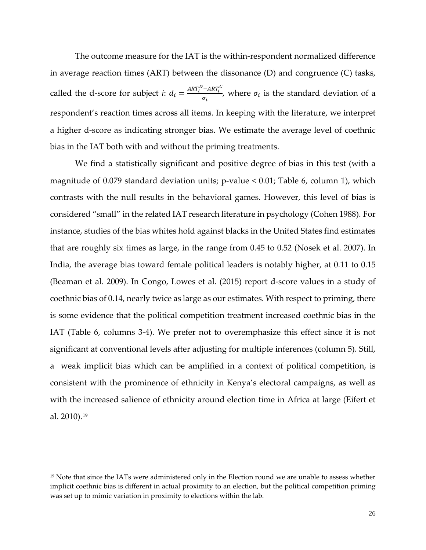The outcome measure for the IAT is the within-respondent normalized difference in average reaction times (ART) between the dissonance (D) and congruence (C) tasks, called the d-score for subject *i*:  $d_i = \frac{ART_i^D - ART_i^C}{\sigma_i}$  $\frac{\partial \mathcal{L}_{i}}{\partial q_{i}}$ , where  $\sigma_{i}$  is the standard deviation of a respondent's reaction times across all items. In keeping with the literature, we interpret a higher d-score as indicating stronger bias. We estimate the average level of coethnic bias in the IAT both with and without the priming treatments.

We find a statistically significant and positive degree of bias in this test (with a magnitude of 0.079 standard deviation units; p-value < 0.01; Table 6, column 1), which contrasts with the null results in the behavioral games. However, this level of bias is considered "small" in the related IAT research literature in psychology (Cohen 1988). [F](#page-27-0)or instance, studies of the bias whites hold against blacks in the United States find estimates that are roughly six times as large, in the range from 0.45 to 0.52 (Nosek et al. 2007). In India, the average bias toward female political leaders is notably higher, at 0.11 to 0.15 (Beaman et al. 2009). In Congo, Lowes et al. (2015) report d-score values in a study of coethnic bias of 0.14, nearly twice as large as our estimates. With respect to priming, there is some evidence that the political competition treatment increased coethnic bias in the IAT (Table 6, columns 3-4). We prefer not to overemphasize this effect since it is not significant at conventional levels after adjusting for multiple inferences (column 5). Still, a weak implicit bias which can be amplified in a context of political competition, is consistent with the prominence of ethnicity in Kenya's electoral campaigns, as well as with the increased salience of ethnicity around election time in Africa at large (Eifert et al. 2010).[19](#page-27-1)

<span id="page-26-2"></span><span id="page-26-1"></span><span id="page-26-0"></span>I <sup>19</sup> Note that since the IATs were administered only in the Election round we are unable to assess whether implicit coethnic bias is different in actual proximity to an election, but the political competition priming was set up to mimic variation in proximity to elections within the lab.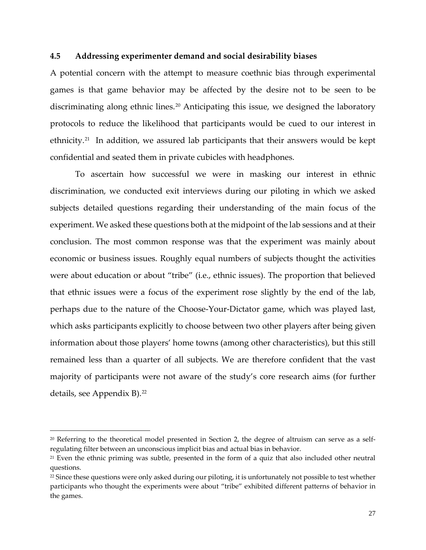## **4.5 Addressing experimenter demand and social desirability biases**

A potential concern with the attempt to measure coethnic bias through experimental games is that game behavior may be affected by the desire not to be seen to be discriminating along ethnic lines.<sup>[20](#page-27-2)</sup> Anticipating this issue, we designed the laboratory protocols to reduce the likelihood that participants would be cued to our interest in ethnicity.<sup>[21](#page-28-0)</sup> In addition, we assured lab participants that their answers would be kept confidential and seated them in private cubicles with headphones.

To ascertain how successful we were in masking our interest in ethnic discrimination, we conducted exit interviews during our piloting in which we asked subjects detailed questions regarding their understanding of the main focus of the experiment. We asked these questions both at the midpoint of the lab sessions and at their conclusion. The most common response was that the experiment was mainly about economic or business issues. Roughly equal numbers of subjects thought the activities were about education or about "tribe" (i.e., ethnic issues). The proportion that believed that ethnic issues were a focus of the experiment rose slightly by the end of the lab, perhaps due to the nature of the Choose-Your-Dictator game, which was played last, which asks participants explicitly to choose between two other players after being given information about those players' home towns (among other characteristics), but this still remained less than a quarter of all subjects. We are therefore confident that the vast majority of participants were not aware of the study's core research aims (for further details, see Appendix B).<sup>[22](#page-28-1)</sup>

<span id="page-27-0"></span>i<br>I

 $20$  Referring to the theoretical model presented in Section 2, the degree of altruism can serve as a selfregulating filter between an unconscious implicit bias and actual bias in behavior.

<span id="page-27-1"></span><sup>21</sup> Even the ethnic priming was subtle, presented in the form of a quiz that also included other neutral questions.

<span id="page-27-2"></span><sup>&</sup>lt;sup>22</sup> Since these questions were only asked during our piloting, it is unfortunately not possible to test whether participants who thought the experiments were about "tribe" exhibited different patterns of behavior in the games.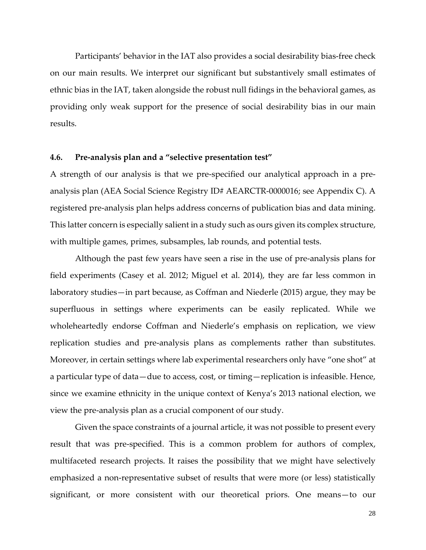Participants' behavior in the IAT also provides a social desirability bias-free check on our main results. We interpret our significant but substantively small estimates of ethnic bias in the IAT, taken alongside the robust null fidings in the behavioral games, as providing only weak support for the presence of social desirability bias in our main results.

## **4.6. Pre-analysis plan and a "selective presentation test"**

A strength of our analysis is that we pre-specified our analytical approach in a preanalysis plan (AEA Social Science Registry ID# AEARCTR-0000016; see Appendix C). A registered pre-analysis plan helps address concerns of publication bias and data mining. This latter concern is especially salient in a study such as ours given its complex structure, with multiple games, primes, subsamples, lab rounds, and potential tests.

Although the past few years have seen a rise in the use of pre-analysis plans for field experiments (Casey et al. 2012; Miguel et al. 2014), they are far less common in laboratory studies—in part because, as Coffman and Niederle (2015) argue, they may be superfluous in settings where experiments can be easily replicated. While we wholeheartedly endorse Coffman and Niederle's emphasis on replication, we view replication studies and pre-analysis plans as complements rather than substitutes. Moreover, in certain settings where lab experimental researchers only have "one shot" at a particular type of data—due to access, cost, or timing—replication is infeasible. Hence, since we examine ethnicity in the unique context of Kenya's 2013 national election, we view the pre-analysis plan as a crucial component of our study.

<span id="page-28-1"></span><span id="page-28-0"></span>Given the space constraints of a journal article, it was not possible to present every result that was pre-specified. This is a common problem for authors of complex, multifaceted research projects. It raises the possibility that we might have selectively emphasized a non-representative subset of results that were more (or less) statistically significant, or more consistent with our theoretical priors. One means—to our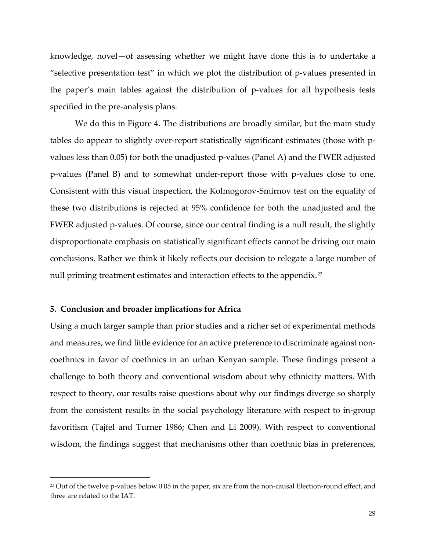knowledge, novel—of assessing whether we might have done this is to undertake a "selective presentation test" in which we plot the distribution of p-values presented in the paper's main tables against the distribution of p-values for all hypothesis tests specified in the pre-analysis plans.

We do this in Figure 4. The distributions are broadly similar, but the main study tables do appear to slightly over-report statistically significant estimates (those with pvalues less than 0.05) for both the unadjusted p-values (Panel A) and the FWER adjusted p-values (Panel B) and to somewhat under-report those with p-values close to one. Consistent with this visual inspection, the Kolmogorov-Smirnov test on the equality of these two distributions is rejected at 95% confidence for both the unadjusted and the FWER adjusted p-values. Of course, since our central finding is a null result, the slightly disproportionate emphasis on statistically significant effects cannot be driving our main conclusions. Rather we think it likely reflects our decision to relegate a large number of null priming treatment estimates and interaction effects to the appendix.<sup>[23](#page-30-0)</sup>

## **5. Conclusion and broader implications for Africa**

i<br>I

Using a much larger sample than prior studies and a richer set of experimental methods and measures, we find little evidence for an active preference to discriminate against noncoethnics in favor of coethnics in an urban Kenyan sample. These findings present a challenge to both theory and conventional wisdom about why ethnicity matters. With respect to theory, our results raise questions about why our findings diverge so sharply from the consistent results in the social psychology literature with respect to in-group favoritism (Tajfel and Turner 1986; Chen and Li 2009). With respect to conventional wisdom, the findings suggest that mechanisms other than coethnic bias in preferences,

<sup>&</sup>lt;sup>23</sup> Out of the twelve p-values below 0.05 in the paper, six are from the non-causal Election-round effect, and three are related to the IAT.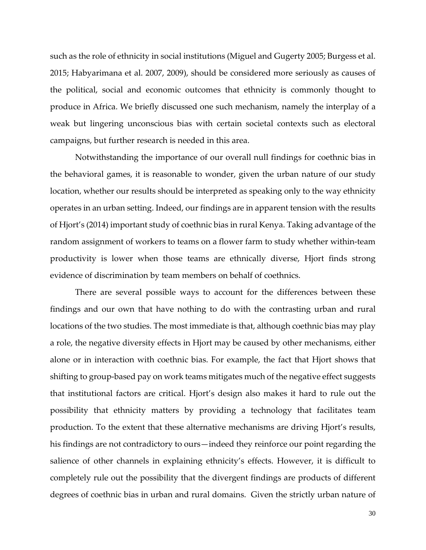such as the role of ethnicity in social institutions (Miguel and Gugerty 2005; Burgess et al. 2015; Habyarimana et al. 2007, 2009), should be considered more seriously as causes of the political, social and economic outcomes that ethnicity is commonly thought to produce in Africa. We briefly discussed one such mechanism, namely the interplay of a weak but lingering unconscious bias with certain societal contexts such as electoral campaigns, but further research is needed in this area.

Notwithstanding the importance of our overall null findings for coethnic bias in the behavioral games, it is reasonable to wonder, given the urban nature of our study location, whether our results should be interpreted as speaking only to the way ethnicity operates in an urban setting. Indeed, our findings are in apparent tension with the results of Hjort's (2014) important study of coethnic bias in rural Kenya. Taking advantage of the random assignment of workers to teams on a flower farm to study whether within-team productivity is lower when those teams are ethnically diverse, Hjort finds strong evidence of discrimination by team members on behalf of coethnics.

<span id="page-30-0"></span>There are several possible ways to account for the differences between these findings and our own that have nothing to do with the contrasting urban and rural locations of the two studies. The most immediate is that, although coethnic bias may play a role, the negative diversity effects in Hjort may be caused by other mechanisms, either alone or in interaction with coethnic bias. For example, the fact that Hjort shows that shifting to group-based pay on work teams mitigates much of the negative effect suggests that institutional factors are critical. Hjort's design also makes it hard to rule out the possibility that ethnicity matters by providing a technology that facilitates team production. To the extent that these alternative mechanisms are driving Hjort's results, his findings are not contradictory to ours—indeed they reinforce our point regarding the salience of other channels in explaining ethnicity's effects. However, it is difficult to completely rule out the possibility that the divergent findings are products of different degrees of coethnic bias in urban and rural domains. Given the strictly urban nature of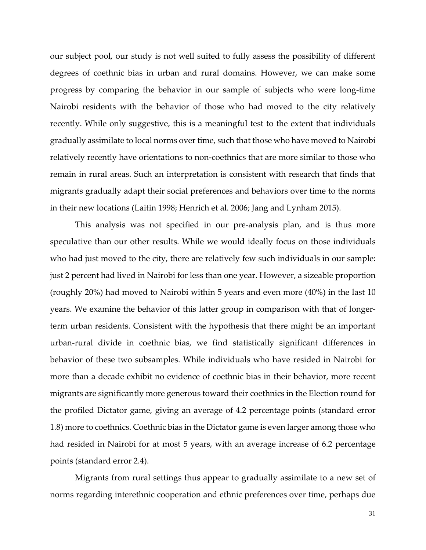our subject pool, our study is not well suited to fully assess the possibility of different degrees of coethnic bias in urban and rural domains. However, we can make some progress by comparing the behavior in our sample of subjects who were long-time Nairobi residents with the behavior of those who had moved to the city relatively recently. While only suggestive, this is a meaningful test to the extent that individuals gradually assimilate to local norms over time, such that those who have moved to Nairobi relatively recently have orientations to non-coethnics that are more similar to those who remain in rural areas. Such an interpretation is consistent with research that finds that migrants gradually adapt their social preferences and behaviors over time to the norms in their new locations (Laitin 1998; Henrich et al. 2006; Jang and Lynham 2015).

This analysis was not specified in our pre-analysis plan, and is thus more speculative than our other results. While we would ideally focus on those individuals who had just moved to the city, there are relatively few such individuals in our sample: just 2 percent had lived in Nairobi for less than one year. However, a sizeable proportion (roughly 20%) had moved to Nairobi within 5 years and even more (40%) in the last 10 years. We examine the behavior of this latter group in comparison with that of longerterm urban residents. Consistent with the hypothesis that there might be an important urban-rural divide in coethnic bias, we find statistically significant differences in behavior of these two subsamples. While individuals who have resided in Nairobi for more than a decade exhibit no evidence of coethnic bias in their behavior, more recent migrants are significantly more generous toward their coethnics in the Election round for the profiled Dictator game, giving an average of 4.2 percentage points (standard error 1.8) more to coethnics. Coethnic bias in the Dictator game is even larger among those who had resided in Nairobi for at most 5 years, with an average increase of 6.2 percentage points (standard error 2.4).

Migrants from rural settings thus appear to gradually assimilate to a new set of norms regarding interethnic cooperation and ethnic preferences over time, perhaps due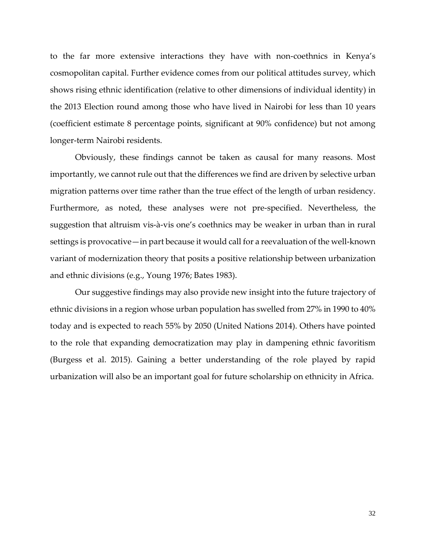to the far more extensive interactions they have with non-coethnics in Kenya's cosmopolitan capital. Further evidence comes from our political attitudes survey, which shows rising ethnic identification (relative to other dimensions of individual identity) in the 2013 Election round among those who have lived in Nairobi for less than 10 years (coefficient estimate 8 percentage points, significant at 90% confidence) but not among longer-term Nairobi residents.

Obviously, these findings cannot be taken as causal for many reasons. Most importantly, we cannot rule out that the differences we find are driven by selective urban migration patterns over time rather than the true effect of the length of urban residency. Furthermore, as noted, these analyses were not pre-specified. Nevertheless, the suggestion that altruism vis-à-vis one's coethnics may be weaker in urban than in rural settings is provocative—in part because it would call for a reevaluation of the well-known variant of modernization theory that posits a positive relationship between urbanization and ethnic divisions (e.g., Young 1976; Bates 1983).

Our suggestive findings may also provide new insight into the future trajectory of ethnic divisions in a region whose urban population has swelled from 27% in 1990 to 40% today and is expected to reach 55% by 2050 (United Nations 2014). Others have pointed to the role that expanding democratization may play in dampening ethnic favoritism (Burgess et al. 2015). Gaining a better understanding of the role played by rapid urbanization will also be an important goal for future scholarship on ethnicity in Africa.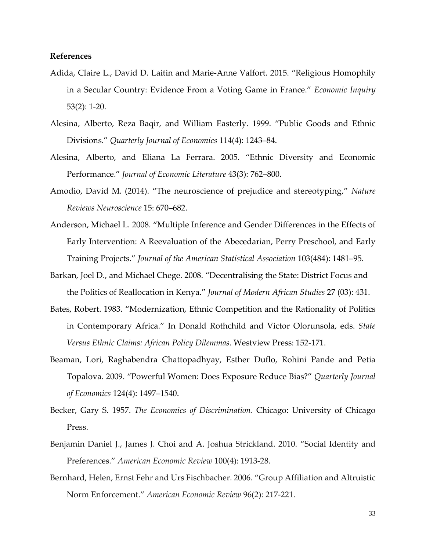## **References**

- Adida, Claire L., David D. Laitin and Marie-Anne Valfort. 2015. "Religious Homophily in a Secular Country: Evidence From a Voting Game in France." *Economic Inquiry*  53(2): 1-20.
- Alesina, Alberto, Reza Baqir, and William Easterly. 1999. "Public Goods and Ethnic Divisions." *Quarterly Journal of Economics* 114(4): 1243–84.
- Alesina, Alberto, and Eliana La Ferrara. 2005. "Ethnic Diversity and Economic Performance." *Journal of Economic Literature* 43(3): 762–800.
- Amodio, David M. (2014). "The neuroscience of prejudice and stereotyping," *Nature Reviews Neuroscience* 15: 670–682.
- Anderson, Michael L. 2008. "Multiple Inference and Gender Differences in the Effects of Early Intervention: A Reevaluation of the Abecedarian, Perry Preschool, and Early Training Projects." *Journal of the American Statistical Association* 103(484): 1481–95.
- Barkan, Joel D., and Michael Chege. 2008. "Decentralising the State: District Focus and the Politics of Reallocation in Kenya." *Journal of Modern African Studies* 27 (03): 431.
- Bates, Robert. 1983. "Modernization, Ethnic Competition and the Rationality of Politics in Contemporary Africa." In Donald Rothchild and Victor Olorunsola, eds. *State Versus Ethnic Claims: African Policy Dilemmas*. Westview Press: 152-171.
- Beaman, Lori, Raghabendra Chattopadhyay, Esther Duflo, Rohini Pande and Petia Topalova. 2009. "Powerful Women: Does Exposure Reduce Bias?" *Quarterly Journal of Economics* 124(4): 1497–1540.
- Becker, Gary S. 1957. *The Economics of Discrimination*. Chicago: University of Chicago Press.
- Benjamin Daniel J., James J. Choi and A. Joshua Strickland. 2010. "Social Identity and Preferences." *American Economic Review* 100(4): 1913-28.
- Bernhard, Helen, Ernst Fehr and Urs Fischbacher. 2006. "Group Affiliation and Altruistic Norm Enforcement." *American Economic Review* 96(2): 217-221.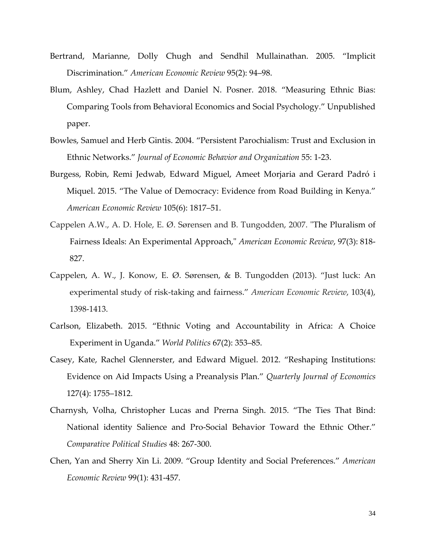- Bertrand, Marianne, Dolly Chugh and Sendhil Mullainathan. 2005. "Implicit Discrimination." *American Economic Review* 95(2): 94–98.
- Blum, Ashley, Chad Hazlett and Daniel N. Posner. 2018. "Measuring Ethnic Bias: Comparing Tools from Behavioral Economics and Social Psychology." Unpublished paper.
- Bowles, Samuel and Herb Gintis. 2004. "Persistent Parochialism: Trust and Exclusion in Ethnic Networks." *Journal of Economic Behavior and Organization* 55: 1-23.
- Burgess, Robin, Remi Jedwab, Edward Miguel, Ameet Morjaria and Gerard Padró i Miquel. 2015. "The Value of Democracy: Evidence from Road Building in Kenya." *American Economic Review* 105(6): 1817–51.
- Cappelen A.W., A. D. Hole, E. Ø. Sørensen and B. Tungodden, 2007. ["The Pluralism of](http://ideas.repec.org/a/aea/aecrev/v97y2007i3p818-827.html)  [Fairness Ideals: An Experimental Approach,](http://ideas.repec.org/a/aea/aecrev/v97y2007i3p818-827.html)" *[American Economic Review](http://ideas.repec.org/s/aea/aecrev.html)*, 97(3): 818- 827.
- Cappelen, A. W., J. Konow, E. Ø. Sørensen, & B. Tungodden (2013). "Just luck: An experimental study of risk-taking and fairness." *American Economic Review*, 103(4), 1398-1413.
- Carlson, Elizabeth. 2015. "Ethnic Voting and Accountability in Africa: A Choice Experiment in Uganda." *World Politics* 67(2): 353–85.
- Casey, Kate, Rachel Glennerster, and Edward Miguel. 2012. "Reshaping Institutions: Evidence on Aid Impacts Using a Preanalysis Plan." *Quarterly Journal of Economics* 127(4): 1755–1812.
- Charnysh, Volha, Christopher Lucas and Prerna Singh. 2015. "The Ties That Bind: National identity Salience and Pro-Social Behavior Toward the Ethnic Other." *Comparative Political Studies* 48: 267-300.
- Chen, Yan and Sherry Xin Li. 2009. "Group Identity and Social Preferences." *American Economic Review* 99(1): 431-457.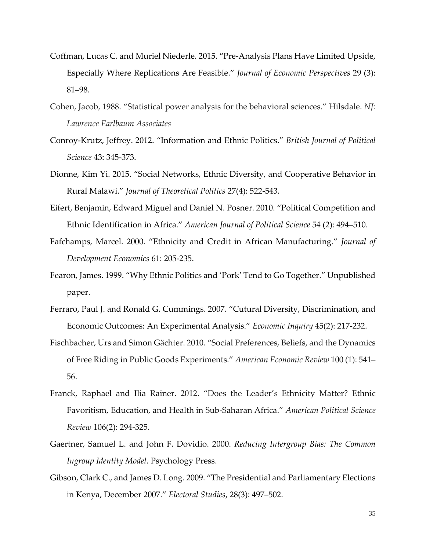- Coffman, Lucas C. and Muriel Niederle. 2015. "Pre-Analysis Plans Have Limited Upside, Especially Where Replications Are Feasible." *Journal of Economic Perspectives* 29 (3): 81–98.
- Cohen, Jacob, 1988. "Statistical power analysis for the behavioral sciences." Hilsdale. *NJ: Lawrence Earlbaum Associates*
- Conroy-Krutz, Jeffrey. 2012. "Information and Ethnic Politics." *British Journal of Political Science* 43: 345-373.
- Dionne, Kim Yi. 2015. "Social Networks, Ethnic Diversity, and Cooperative Behavior in Rural Malawi." *Journal of Theoretical Politics* 27(4): 522-543.
- Eifert, Benjamin, Edward Miguel and Daniel N. Posner. 2010. "Political Competition and Ethnic Identification in Africa." *American Journal of Political Science* 54 (2): 494–510.
- Fafchamps, Marcel. 2000. "Ethnicity and Credit in African Manufacturing." *Journal of Development Economics* 61: 205-235.
- Fearon, James. 1999. "Why Ethnic Politics and 'Pork' Tend to Go Together." Unpublished paper.
- Ferraro, Paul J. and Ronald G. Cummings. 2007. "Cutural Diversity, Discrimination, and Economic Outcomes: An Experimental Analysis." *Economic Inquiry* 45(2): 217-232.
- Fischbacher, Urs and Simon Gächter. 2010. "Social Preferences, Beliefs, and the Dynamics of Free Riding in Public Goods Experiments." *American Economic Review* 100 (1): 541– 56.
- Franck, Raphael and Ilia Rainer. 2012. "Does the Leader's Ethnicity Matter? Ethnic Favoritism, Education, and Health in Sub-Saharan Africa." *American Political Science Review* 106(2): 294-325.
- Gaertner, Samuel L. and John F. Dovidio. 2000. *Reducing Intergroup Bias: The Common Ingroup Identity Model*. Psychology Press.
- Gibson, Clark C., and James D. Long. 2009. "The Presidential and Parliamentary Elections in Kenya, December 2007." *Electoral Studies*, 28(3): 497–502.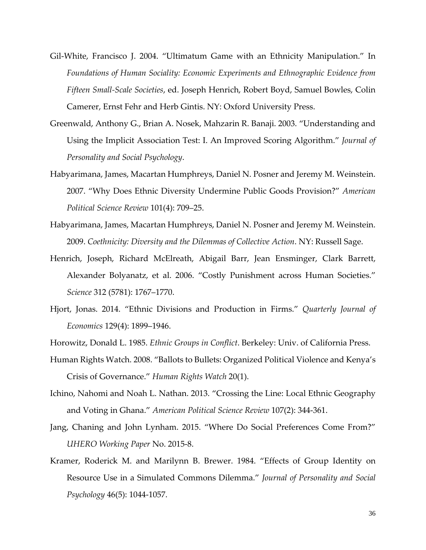- Gil-White, Francisco J. 2004. "Ultimatum Game with an Ethnicity Manipulation." In *Foundations of Human Sociality: Economic Experiments and Ethnographic Evidence from Fifteen Small-Scale Societies*, ed. Joseph Henrich, Robert Boyd, Samuel Bowles, Colin Camerer, Ernst Fehr and Herb Gintis. NY: Oxford University Press.
- Greenwald, Anthony G., Brian A. Nosek, Mahzarin R. Banaji. 2003. "Understanding and Using the Implicit Association Test: I. An Improved Scoring Algorithm." *Journal of Personality and Social Psychology*.
- Habyarimana, James, Macartan Humphreys, Daniel N. Posner and Jeremy M. Weinstein. 2007. "Why Does Ethnic Diversity Undermine Public Goods Provision?" *American Political Science Review* 101(4): 709–25.
- Habyarimana, James, Macartan Humphreys, Daniel N. Posner and Jeremy M. Weinstein. 2009. *Coethnicity: Diversity and the Dilemmas of Collective Action*. NY: Russell Sage.
- Henrich, Joseph, Richard McElreath, Abigail Barr, Jean Ensminger, Clark Barrett, Alexander Bolyanatz, et al. 2006. "Costly Punishment across Human Societies." *Science* 312 (5781): 1767–1770.
- Hjort, Jonas. 2014. "Ethnic Divisions and Production in Firms." *Quarterly Journal of Economics* 129(4): 1899–1946.
- Horowitz, Donald L. 1985. *Ethnic Groups in Conflict*. Berkeley: Univ. of California Press.
- Human Rights Watch. 2008. "Ballots to Bullets: Organized Political Violence and Kenya's Crisis of Governance." *Human Rights Watch* 20(1).
- Ichino, Nahomi and Noah L. Nathan. 2013. "Crossing the Line: Local Ethnic Geography and Voting in Ghana." *American Political Science Review* 107(2): 344-361.
- Jang, Chaning and John Lynham. 2015. "Where Do Social Preferences Come From?" *UHERO Working Paper* No. 2015-8.
- Kramer, Roderick M. and Marilynn B. Brewer. 1984. "Effects of Group Identity on Resource Use in a Simulated Commons Dilemma." *Journal of Personality and Social Psychology* 46(5): 1044-1057.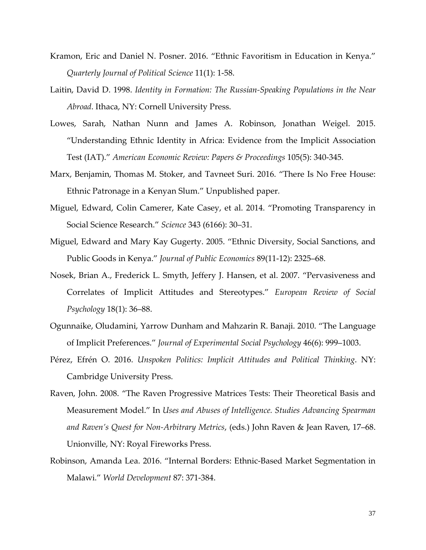- Kramon, Eric and Daniel N. Posner. 2016. "Ethnic Favoritism in Education in Kenya." *Quarterly Journal of Political Science* 11(1): 1-58.
- Laitin, David D. 1998. *Identity in Formation: The Russian-Speaking Populations in the Near Abroad*. Ithaca, NY: Cornell University Press.
- Lowes, Sarah, Nathan Nunn and James A. Robinson, Jonathan Weigel. 2015. "Understanding Ethnic Identity in Africa: Evidence from the Implicit Association Test (IAT)." *American Economic Review: Papers & Proceedings* 105(5): 340-345.
- Marx, Benjamin, Thomas M. Stoker, and Tavneet Suri. 2016. "There Is No Free House: Ethnic Patronage in a Kenyan Slum." Unpublished paper*.*
- Miguel, Edward, Colin Camerer, Kate Casey, et al. 2014. "Promoting Transparency in Social Science Research." *Science* 343 (6166): 30–31.
- Miguel, Edward and Mary Kay Gugerty. 2005. "Ethnic Diversity, Social Sanctions, and Public Goods in Kenya." *Journal of Public Economics* 89(11-12): 2325–68.
- Nosek, Brian A., Frederick L. Smyth, Jeffery J. Hansen, et al. 2007. "Pervasiveness and Correlates of Implicit Attitudes and Stereotypes." *European Review of Social Psychology* 18(1): 36–88.
- Ogunnaike, Oludamini, Yarrow Dunham and Mahzarin R. Banaji. 2010. "The Language of Implicit Preferences." *Journal of Experimental Social Psychology* 46(6): 999–1003.
- Pérez, Efrén O. 2016. *Unspoken Politics: Implicit Attitudes and Political Thinking*. NY: Cambridge University Press.
- Raven, John. 2008. "The Raven Progressive Matrices Tests: Their Theoretical Basis and Measurement Model." In *Uses and Abuses of Intelligence. Studies Advancing Spearman and Raven's Quest for Non-Arbitrary Metrics*, (eds.) John Raven & Jean Raven, 17–68. Unionville, NY: Royal Fireworks Press.
- Robinson, Amanda Lea. 2016. "Internal Borders: Ethnic-Based Market Segmentation in Malawi." *World Development* 87: 371-384.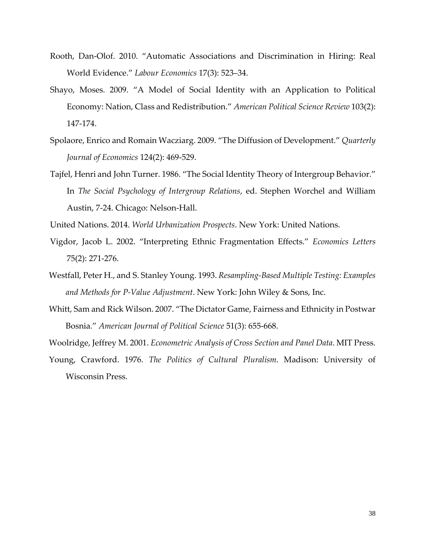- Rooth, Dan-Olof. 2010. "Automatic Associations and Discrimination in Hiring: Real World Evidence." *Labour Economics* 17(3): 523–34.
- Shayo, Moses. 2009. "A Model of Social Identity with an Application to Political Economy: Nation, Class and Redistribution." *American Political Science Review* 103(2): 147-174.
- Spolaore, Enrico and Romain Wacziarg. 2009. "The Diffusion of Development." *Quarterly Journal of Economics* 124(2): 469-529.
- Tajfel, Henri and John Turner. 1986. "The Social Identity Theory of Intergroup Behavior." In *The Social Psychology of Intergroup Relations*, ed. Stephen Worchel and William Austin, 7-24. Chicago: Nelson-Hall.
- United Nations. 2014. *World Urbanization Prospects*. New York: United Nations.
- Vigdor, Jacob L. 2002. "Interpreting Ethnic Fragmentation Effects." *Economics Letters* 75(2): 271-276.
- Westfall, Peter H., and S. Stanley Young. 1993. *Resampling-Based Multiple Testing: Examples and Methods for P-Value Adjustment*. New York: John Wiley & Sons, Inc.
- Whitt, Sam and Rick Wilson. 2007. "The Dictator Game, Fairness and Ethnicity in Postwar Bosnia." *American Journal of Political Science* 51(3): 655-668.
- Woolridge, Jeffrey M. 2001. *Econometric Analysis of Cross Section and Panel Data*. MIT Press.
- Young, Crawford. 1976. *The Politics of Cultural Pluralism*. Madison: University of Wisconsin Press.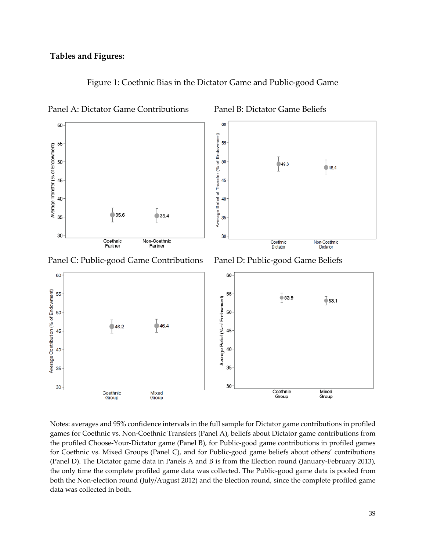

Figure 1: Coethnic Bias in the Dictator Game and Public-good Game

Panel A: Dictator Game Contributions Panel B: Dictator Game Beliefs

Panel C: Public-good Game Contributions Panel D: Public-good Game Beliefs



Notes: averages and 95% confidence intervals in the full sample for Dictator game contributions in profiled games for Coethnic vs. Non-Coethnic Transfers (Panel A), beliefs about Dictator game contributions from the profiled Choose-Your-Dictator game (Panel B), for Public-good game contributions in profiled games for Coethnic vs. Mixed Groups (Panel C), and for Public-good game beliefs about others' contributions (Panel D). The Dictator game data in Panels A and B is from the Election round (January-February 2013), the only time the complete profiled game data was collected. The Public-good game data is pooled from both the Non-election round (July/August 2012) and the Election round, since the complete profiled game data was collected in both.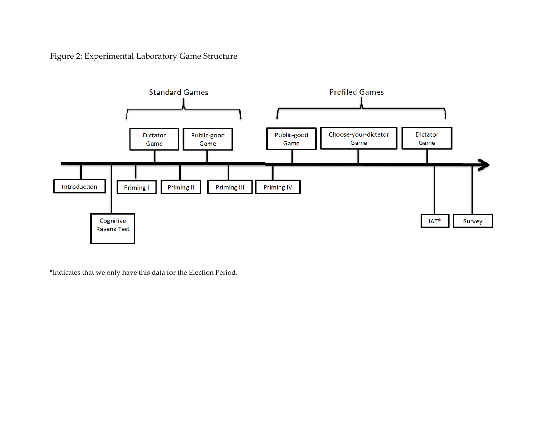Figure 2: Experimental Laboratory Game Structure



\*Indicates that we only have this data for the Election Period.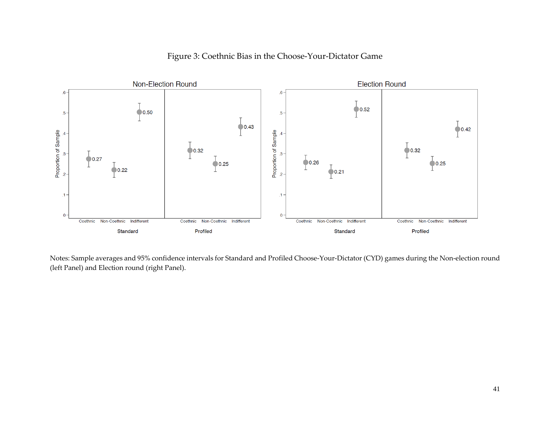

## Figure 3: Coethnic Bias in the Choose-Your-Dictator Game

Notes: Sample averages and 95% confidence intervals for Standard and Profiled Choose-Your-Dictator (CYD) games during the Non-election round (left Panel) and Election round (right Panel).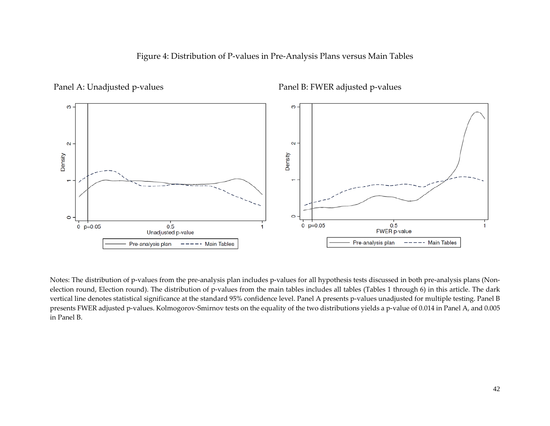



Panel A: Unadjusted p-values Panel B: FWER adjusted p-values

Notes: The distribution of p-values from the pre-analysis plan includes p-values for all hypothesis tests discussed in both pre-analysis plans (Nonelection round, Election round). The distribution of p-values from the main tables includes all tables (Tables 1 through 6) in this article. The dark vertical line denotes statistical significance at the standard 95% confidence level. Panel A presents p-values unadjusted for multiple testing. Panel B presents FWER adjusted p-values. Kolmogorov-Smirnov tests on the equality of the two distributions yields a p-value of 0.014 in Panel A, and 0.005 in Panel B.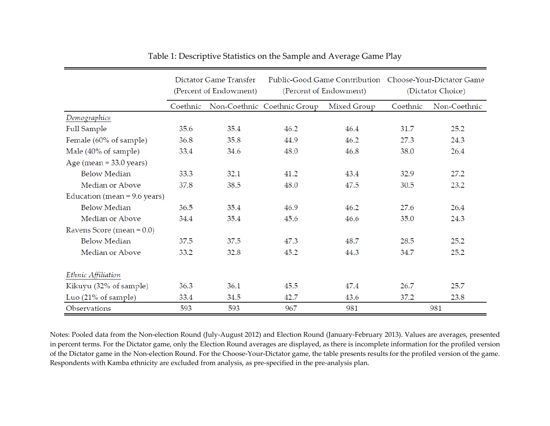|                                | Dictator Game Transfer<br>(Percent of Endowment) |      |                             | (Percent of Endowment) | Public-Good Game Contribution  Choose-Your-Dictator Game<br>(Dictator Choice) |              |
|--------------------------------|--------------------------------------------------|------|-----------------------------|------------------------|-------------------------------------------------------------------------------|--------------|
|                                | Coethnic                                         |      | Non-Coethnic Coethnic Group | Mixed Group            | Coethnic                                                                      | Non-Coethnic |
| Demographics                   |                                                  |      |                             |                        |                                                                               |              |
| Full Sample                    | 35.6                                             | 35.4 | 46.2                        | 46.4                   | 31.7                                                                          | 25.2         |
| Female (60% of sample)         | 36.8                                             | 35.8 | 44.9                        | 46.2                   | 27.3                                                                          | 24.3         |
| Male (40% of sample)           | 33.4                                             | 34.6 | 48.0                        | 46.8                   | 38.0                                                                          | 26.4         |
| Age (mean $=$ 33.0 years)      |                                                  |      |                             |                        |                                                                               |              |
| <b>Below Median</b>            | 33.3                                             | 32.1 | 41.2                        | 43.4                   | 32.9                                                                          | 27.2         |
| Median or Above                | 37.8                                             | 38.5 | 48.0                        | 47.5                   | 30.5                                                                          | 23.2         |
| Education (mean = $9.6$ years) |                                                  |      |                             |                        |                                                                               |              |
| <b>Below Median</b>            | 36.5                                             | 35.4 | 46.9                        | 46.2                   | 27.6                                                                          | 26.4         |
| Median or Above                | 34.4                                             | 35.4 | 45.6                        | 46.6                   | 35.0                                                                          | 24.3         |
| Ravens Score (mean $= 0.0$ )   |                                                  |      |                             |                        |                                                                               |              |
| <b>Below Median</b>            | 37.5                                             | 37.5 | 47.3                        | 48.7                   | 28.5                                                                          | 25.2         |
| Median or Above                | 33.2                                             | 32.8 | 45.2                        | 44.3                   | 34.7                                                                          | 25.2         |
| Ethnic Affiliation             |                                                  |      |                             |                        |                                                                               |              |
| Kikuyu (32% of sample)         | 36.3                                             | 36.1 | 45.5                        | 47.4                   | 26.7                                                                          | 25.7         |
| Luo (21% of sample)            | 33.4                                             | 34.5 | 42.7                        | 43.6                   | 37.2                                                                          | 23.8         |
| Observations                   | 593                                              | 593  | 967                         | 981                    |                                                                               | 981          |

| Table 1: Descriptive Statistics on the Sample and Average Game Play |  |  |
|---------------------------------------------------------------------|--|--|
|                                                                     |  |  |

Notes: Pooled data from the Non-election Round (July-August 2012) and Election Round (January-February 2013). Values are averages, presented in percent terms. For the Dictator game, only the Election Round averages are displayed, as there is incomplete information for the profiled version of the Dictator game in the Non-election Round. For the Choose-Your-Dictator game, the table presents results for the profiled version of the game. Respondents with Kamba ethnicity are excluded from analysis, as pre-specified in the pre-analysis plan.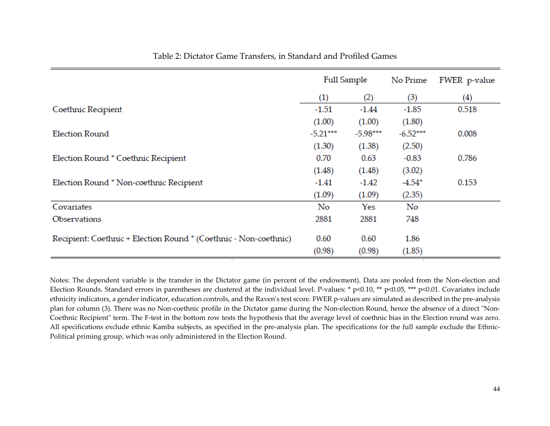|                                                                  | Full Sample |            | No Prime   | FWER p-value      |
|------------------------------------------------------------------|-------------|------------|------------|-------------------|
|                                                                  | (1)         | (2)        | (3)        | $\left( 4\right)$ |
| Coethnic Recipient                                               | $-1.51$     | $-1.44$    | $-1.85$    | 0.518             |
|                                                                  | (1.00)      | (1.00)     | (1.80)     |                   |
| Election Round                                                   | $-5.21***$  | $-5.98***$ | $-6.52***$ | 0.008             |
|                                                                  | (1.30)      | (1.38)     | (2.50)     |                   |
| Election Round * Coethnic Recipient                              | 0.70        | 0.63       | $-0.83$    | 0.786             |
|                                                                  | (1.48)      | (1.48)     | (3.02)     |                   |
| Election Round * Non-coethnic Recipient                          | -1.41       | $-1.42$    | $-4.54*$   | 0.153             |
|                                                                  | (1.09)      | (1.09)     | (2.35)     |                   |
| Covariates                                                       | No          | Yes        | No         |                   |
| Observations                                                     | 2881        | 2881       | 748        |                   |
| Recipient: Coethnic + Election Round * (Coethnic - Non-coethnic) | 0.60        | 0.60       | 1.86       |                   |
|                                                                  | (0.98)      | (0.98)     | (1.85)     |                   |

## Table 2: Dictator Game Transfers, in Standard and Profiled Games

Notes: The dependent variable is the transfer in the Dictator game (in percent of the endowment). Data are pooled from the Non-election and Election Rounds. Standard errors in parentheses are clustered at the individual level. P-values: \* p<0.10, \*\* p<0.05, \*\*\* p<0.01. Covariates include ethnicity indicators, a gender indicator, education controls, and the Raven's test score. FWER p-values are simulated as described in the pre-analysis plan for column (3). There was no Non-coethnic profile in the Dictator game during the Non-election Round, hence the absence of a direct "Non-Coethnic Recipient" term. The F-test in the bottom row tests the hypothesis that the average level of coethnic bias in the Election round was zero. All specifications exclude ethnic Kamba subjects, as specified in the pre-analysis plan. The specifications for the full sample exclude the Ethnic-Political priming group, which was only administered in the Election Round.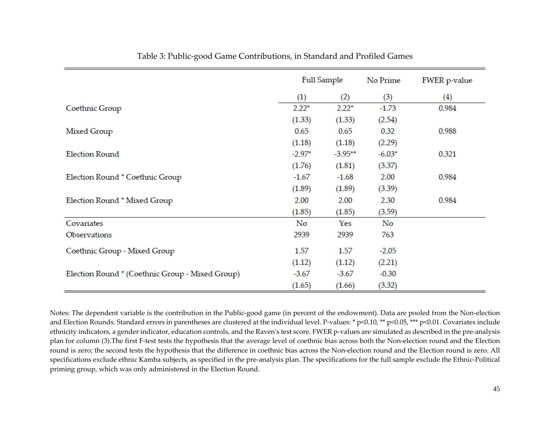|                                                 | Full Sample |            | No Prime | FWER p-value |
|-------------------------------------------------|-------------|------------|----------|--------------|
|                                                 | (1)         | (2)        | (3)      | (4)          |
| Coethnic Group                                  | $2.22*$     | $2.22*$    | $-1.73$  | 0.984        |
|                                                 | (1.33)      | (1.33)     | (2.54)   |              |
| Mixed Group                                     | 0.65        | 0.65       | 0.32     | 0.988        |
|                                                 | (1.18)      | (1.18)     | (2.29)   |              |
| <b>Election Round</b>                           | $-2.97*$    | $-3.95***$ | $-6.03*$ | 0.321        |
|                                                 | (1.76)      | (1.81)     | (3.37)   |              |
| Election Round * Coethnic Group                 | $-1.67$     | $-1.68$    | 2.00     | 0.984        |
|                                                 | (1.89)      | (1.89)     | (3.39)   |              |
| Election Round * Mixed Group                    | 2.00        | 2.00       | 2.30     | 0.984        |
|                                                 | (1.85)      | (1.85)     | (3.59)   |              |
| Covariates                                      | No          | Yes        | No       |              |
| Observations                                    | 2939        | 2939       | 763      |              |
| Coethnic Group - Mixed Group                    | 1.57        | 1.57       | $-2.05$  |              |
|                                                 | (1.12)      | (1.12)     | (2.21)   |              |
| Election Round * (Coethnic Group - Mixed Group) | $-3.67$     | $-3.67$    | $-0.30$  |              |
|                                                 | (1.65)      | (1.66)     | (3.32)   |              |

Notes: The dependent variable is the contribution in the Public-good game (in percent of the endowment). Data are pooled from the Non-election and Election Rounds. Standard errors in parentheses are clustered at the individual level. P-values: \* p<0.01, \*\* p<0.05, \*\*\* p<0.01. Covariates include ethnicity indicators, a gender indicator, education controls, and the Raven's test score. FWER p-values are simulated as described in the pre-analysis plan for column (3).The first F-test tests the hypothesis that the average level of coethnic bias across both the Non-election round and the Election round is zero; the second tests the hypothesis that the difference in coethnic bias across the Non-election round and the Election round is zero. All specifications exclude ethnic Kamba subjects, as specified in the pre-analysis plan. The specifications for the full sample exclude the Ethnic-Political priming group, which was only administered in the Election Round.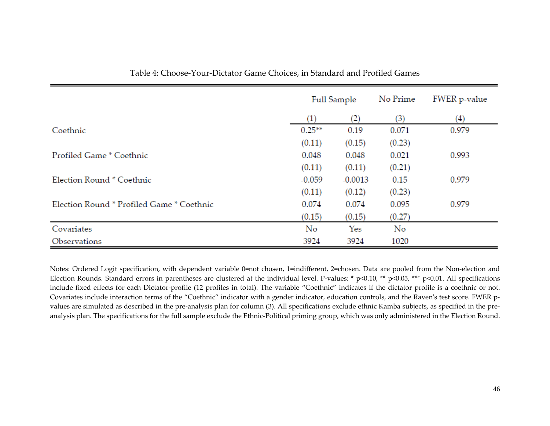|                                           |           | Full Sample       |        | FWER p-value      |
|-------------------------------------------|-----------|-------------------|--------|-------------------|
|                                           | (1)       | $\left( 2\right)$ | (3)    | $\left( 4\right)$ |
| Coethnic                                  | $0.25***$ | 0.19              | 0.071  | 0.979             |
|                                           | (0.11)    | (0.15)            | (0.23) |                   |
| Profiled Game * Coethnic                  | 0.048     | 0.048             | 0.021  | 0.993             |
|                                           | (0.11)    | (0.11)            | (0.21) |                   |
| Election Round * Coethnic                 | $-0.059$  | $-0.0013$         | 0.15   | 0.979             |
|                                           | (0.11)    | (0.12)            | (0.23) |                   |
| Election Round * Profiled Game * Coethnic | 0.074     | 0.074             | 0.095  | 0.979             |
|                                           | (0.15)    | (0.15)            | (0.27) |                   |
| Covariates                                | No        | Yes               | No     |                   |
| Observations                              | 3924      | 3924              | 1020   |                   |

Table 4: Choose-Your-Dictator Game Choices, in Standard and Profiled Games

Notes: Ordered Logit specification, with dependent variable 0=not chosen, 1=indifferent, 2=chosen. Data are pooled from the Non-election and Election Rounds. Standard errors in parentheses are clustered at the individual level. P-values: \*  $p<0.10$ , \*\*  $p<0.05$ , \*\*\*  $p<0.01$ . All specifications include fixed effects for each Dictator-profile (12 profiles in total). The variable "Coethnic" indicates if the dictator profile is a coethnic or not. Covariates include interaction terms of the "Coethnic" indicator with a gender indicator, education controls, and the Raven's test score. FWER pvalues are simulated as described in the pre-analysis plan for column (3). All specifications exclude ethnic Kamba subjects, as specified in the preanalysis plan. The specifications for the full sample exclude the Ethnic-Political priming group, which was only administered in the Election Round.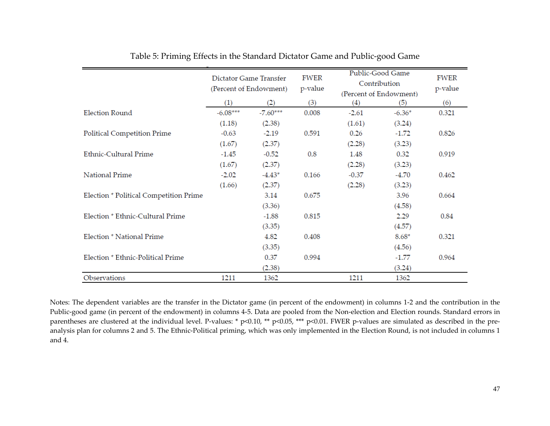|                                        | Dictator Game Transfer<br>(Percent of Endowment) |            | FWER<br>p-value |         | Public-Good Game<br>Contribution<br>(Percent of Endowment) | <b>FWER</b><br>p-value |
|----------------------------------------|--------------------------------------------------|------------|-----------------|---------|------------------------------------------------------------|------------------------|
|                                        | (1)                                              | (2)        | (3)             | (4)     | (5)                                                        | (6)                    |
| <b>Election Round</b>                  | $-6.08***$                                       | $-7.60***$ | 0.008           | $-2.61$ | $-6.36*$                                                   | 0.321                  |
|                                        | (1.18)                                           | (2.38)     |                 | (1.61)  | (3.24)                                                     |                        |
| Political Competition Prime            | $-0.63$                                          | $-2.19$    | 0.591           | 0.26    | $-1.72$                                                    | 0.826                  |
|                                        | (1.67)                                           | (2.37)     |                 | (2.28)  | (3.23)                                                     |                        |
| <b>Ethnic-Cultural Prime</b>           | $-1.45$                                          | $-0.52$    | 0.8             | 1.48    | 0.32                                                       | 0.919                  |
|                                        | (1.67)                                           | (2.37)     |                 | (2.28)  | (3.23)                                                     |                        |
| National Prime                         | $-2.02$                                          | $-4.43*$   | 0.166           | $-0.37$ | $-4.70$                                                    | 0.462                  |
|                                        | (1.66)                                           | (2.37)     |                 | (2.28)  | (3.23)                                                     |                        |
| Election * Political Competition Prime |                                                  | 3.14       | 0.675           |         | 3.96                                                       | 0.664                  |
|                                        |                                                  | (3.36)     |                 |         | (4.58)                                                     |                        |
| Election * Ethnic-Cultural Prime       |                                                  | $-1.88$    | 0.815           |         | 2.29                                                       | 0.84                   |
|                                        |                                                  | (3.35)     |                 |         | (4.57)                                                     |                        |
| Election * National Prime              |                                                  | 4.82       | 0.408           |         | $8.68*$                                                    | 0.321                  |
|                                        |                                                  | (3.35)     |                 |         | (4.56)                                                     |                        |
| Election * Ethnic-Political Prime      |                                                  | 0.37       | 0.994           |         | $-1.77$                                                    | 0.964                  |
|                                        |                                                  | (2.38)     |                 |         | (3.24)                                                     |                        |
| Observations                           | 1211                                             | 1362       |                 | 1211    | 1362                                                       |                        |

| Table 5: Priming Effects in the Standard Dictator Game and Public-good Game |
|-----------------------------------------------------------------------------|
|-----------------------------------------------------------------------------|

Notes: The dependent variables are the transfer in the Dictator game (in percent of the endowment) in columns 1-2 and the contribution in the Public-good game (in percent of the endowment) in columns 4-5. Data are pooled from the Non-election and Election rounds. Standard errors in parentheses are clustered at the individual level. P-values: \* p<0.10, \*\* p<0.05, \*\*\* p<0.01. FWER p-values are simulated as described in the preanalysis plan for columns 2 and 5. The Ethnic-Political priming, which was only implemented in the Election Round, is not included in columns 1 and 4.